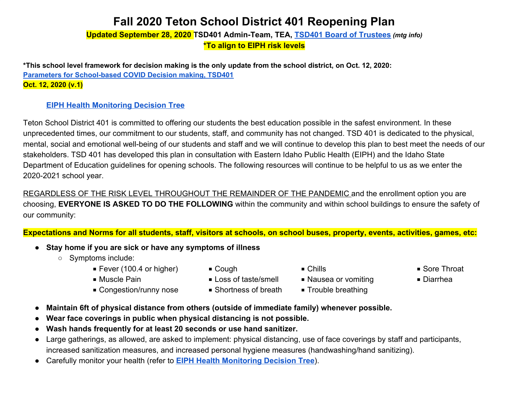### **Fall 2020 Teton School District 401 Reopening Plan**

**Updated September 28, 2020 TSD401 Admin-Team, TEA, [TSD401 Board of Trustees](https://drive.google.com/drive/folders/1zuDrK-8UHdvKrxJ_jbOz4y-qH5BMUazy?usp=sharing)** *(mtg info)*  **\*To align to EIPH risk levels** 

**\*This school level framework for decision making is the only update from the school district, on Oct. 12, 2020: [Parameters for School-based COVID Decision making, TSD401](https://docs.google.com/document/d/1t_BpznrVdnuiW0PnLf_k1nJ5BeKlcEsvfrjjctpE_og/edit?usp=sharing)  Oct. 12, 2020 (v.1)**

### **[EIPH Health Monitoring Decision Tree](https://eiph.idaho.gov/Home/Hot%20Topics/Coronavirus/EIPH%20COVID19%20Decision%20Tree%20wMonitoring%20Log_rev%207-06-20.pdf)**

Teton School District 401 is committed to offering our students the best education possible in the safest environment. In these unprecedented times, our commitment to our students, staff, and community has not changed. TSD 401 is dedicated to the physical, mental, social and emotional well-being of our students and staff and we will continue to develop this plan to best meet the needs of our stakeholders. TSD 401 has developed this plan in consultation with Eastern Idaho Public Health (EIPH) and the Idaho State Department of Education guidelines for opening schools. The following resources will continue to be helpful to us as we enter the 2020-2021 school year.

REGARDLESS OF THE RISK LEVEL THROUGHOUT THE REMAINDER OF THE PANDEMIC and the enrollment option you are choosing, **EVERYONE IS ASKED TO DO THE FOLLOWING** within the community and within school buildings to ensure the safety of our community:

### **Expectations and Norms for all students, staff, visitors at schools, on school buses, property, events, activities, games, etc:**

- **Stay home if you are sick or have any symptoms of illness** 
	- Symptoms include:
		- Fever (100.4 or higher) Cough Chills Chills Sore Throat
			-

- 
- Muscle Pain Loss of taste/smell Nausea or vomiting Diarrhea
- -
- Congestion/runny nose Shortness of breath Trouble breathing
	-
- **Maintain 6ft of physical distance from others (outside of immediate family) whenever possible.**
- **Wear face coverings in public when physical distancing is not possible.**
- **Wash hands frequently for at least 20 seconds or use hand sanitizer.**
- Large gatherings, as allowed, are asked to implement: physical distancing, use of face coverings by staff and participants, increased sanitization measures, and increased personal hygiene measures (handwashing/hand sanitizing).
- Carefully monitor your health (refer to **[EIPH Health Monitoring Decision Tree](https://eiph.idaho.gov/Home/Hot%20Topics/Coronavirus/EIPH%20COVID19%20Decision%20Tree%20wMonitoring%20Log_rev%207-06-20.pdf)**).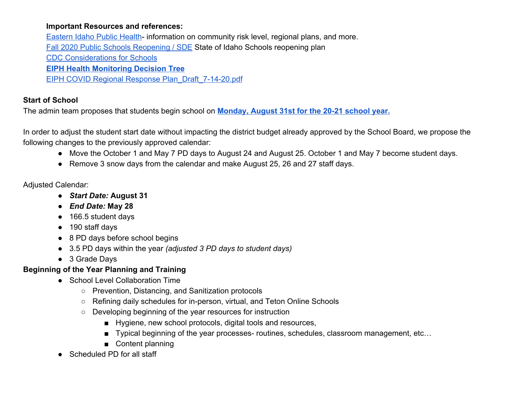### **Important Resources and references:**

[Eastern Idaho Public Health](https://eiph.idaho.gov/)- information on community risk level, regional plans, and more. [Fall 2020 Public Schools Reopening / SDE](https://www.sde.idaho.gov/re-opening/) State of Idaho Schools reopening plan [CDC Considerations for Schools](https://www.cdc.gov/coronavirus/2019-ncov/community/schools-childcare/schools.html) **[EIPH Health Monitoring Decision Tree](https://eiph.idaho.gov/Home/Hot%20Topics/Coronavirus/EIPH%20COVID19%20Decision%20Tree%20wMonitoring%20Log_rev%207-06-20.pdf)** [EIPH COVID Regional Response Plan\\_Draft\\_7-14-20.pdf](https://drive.google.com/file/d/1-PPHkMGk5gsBcqR3Ls_wwgQkvtZ8pPk2/view?usp=sharing)

### **Start of School**

The admin team proposes that students begin school on **[Monday, August 31st for the 20-21 school year.](https://drive.google.com/file/d/1SQxUdtDgZh_X_8r8evPHwYw6i-aShlbY/view?usp=sharing)** 

In order to adjust the student start date without impacting the district budget already approved by the School Board, we propose the following changes to the previously approved calendar:

- Move the October 1 and May 7 PD days to August 24 and August 25. October 1 and May 7 become student days.
- Remove 3 snow days from the calendar and make August 25, 26 and 27 staff days.

### Adjusted Calendar:

- **●** *Start Date:* **August 31**
- **●** *End Date:* **May 28**
- 166.5 student days
- 190 staff days
- 8 PD days before school begins
- 3.5 PD days within the year *(adjusted 3 PD days to student days)*
- 3 Grade Days

### **Beginning of the Year Planning and Training**

- School Level Collaboration Time
	- Prevention, Distancing, and Sanitization protocols
	- Refining daily schedules for in-person, virtual, and Teton Online Schools
	- Developing beginning of the year resources for instruction
		- Hygiene, new school protocols, digital tools and resources,
		- Typical beginning of the year processes- routines, schedules, classroom management, etc...
		- Content planning
- Scheduled PD for all staff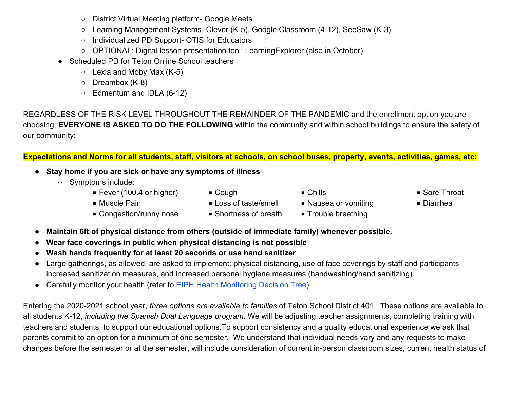- District Virtual Meeting platform- Google Meets
- Learning Management Systems- Clever (K-5), Google Classroom (4-12), SeeSaw (K-3)
- Individualized PD Support- OTIS for Educators
- OPTIONAL: Digital lesson presentation tool: LearningExplorer (also in October)
- Scheduled PD for Teton Online School teachers
	- $\circ$  Lexia and Moby Max (K-5)
	- Dreambox (K-8)
	- Edmentum and IDLA (6-12)

REGARDLESS OF THE RISK LEVEL THROUGHOUT THE REMAINDER OF THE PANDEMIC and the enrollment option you are choosing, **EVERYONE IS ASKED TO DO THE FOLLOWING** within the community and within school buildings to ensure the safety of our community:

**Expectations and Norms for all students, staff, visitors at schools, on school buses, property, events, activities, games, etc:** 

- **Stay home if you are sick or have any symptoms of illness** 
	- Symptoms include:
		- Fever (100.4 or higher) Cough Chills Chills Sore Throat
			- -
- 
- Muscle Pain Loss of taste/smell Nausea or vomiting Diarrhea
- 
- Congestion/runny nose Shortness of breath Trouble breathing
- 
- 
- **Maintain 6ft of physical distance from others (outside of immediate family) whenever possible.**
- **Wear face coverings in public when physical distancing is not possible**
- **Wash hands frequently for at least 20 seconds or use hand sanitizer**
- Large gatherings, as allowed, are asked to implement: physical distancing, use of face coverings by staff and participants, increased sanitization measures, and increased personal hygiene measures (handwashing/hand sanitizing).
- Carefully monitor your health (refer to **EIPH Health Monitoring Decision Tree)**

Entering the 2020-2021 school year, *three options are available to families* of Teton School District 401. These options are available to all students K-12, *including the Spanish Dual Language program*. We will be adjusting teacher assignments, completing training with teachers and students, to support our educational options.To support consistency and a quality educational experience we ask that parents commit to an option for a minimum of one semester. We understand that individual needs vary and any requests to make changes before the semester or at the semester, will include consideration of current in-person classroom sizes, current health status of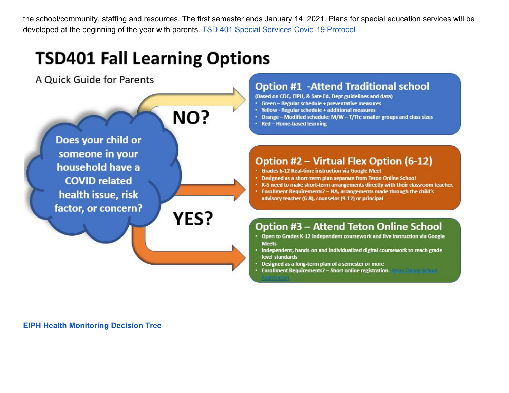the school/community, staffing and resources. The first semester ends January 14, 2021. Plans for special education services will be developed at the beginning of the year with parents. [TSD 401 Special Services Covid-19 Protocol](https://docs.google.com/document/d/1NWKFjtSxT-seKqwQ24vQ5HXLZ-jHWyZrOP_iVSZ5hYw/edit?usp=sharing)

# **TSD401 Fall Learning Options**

A Quick Guide for Parents



### **Option #1 -Attend Traditional school**

- (Based on CDC, EIPH, & Sate Ed. Dept guidelines and data)
- Green Regular schedule + preventative measures
- Yellow Regular schedule + additional measures
- Orange Modified schedule; M/W T/Th; smaller groups and class sizes
- Red Home-based learning

### Option #2 - Virtual Flex Option (6-12)

- Grades 6-12 Real-time instruction via Google Meet
- Designed as a short-term plan separate from Teton Online School
- . K-5 need to make short-term arrangements directly with their classroom teacher.
- Enrollment Requirements? NA, arrangements made through the child's advisory teacher (6-8), counselor (9-12) or principal

### Option #3 – Attend Teton Online School

- Open to Grades K-12 independent coursework and live instruction via Google **Meets**
- · Independent, hands-on and individualized digital coursework to reach grade level standards
- Designed as a long-term plan of a semester or more
- Enrollment Requirements? Short online registration-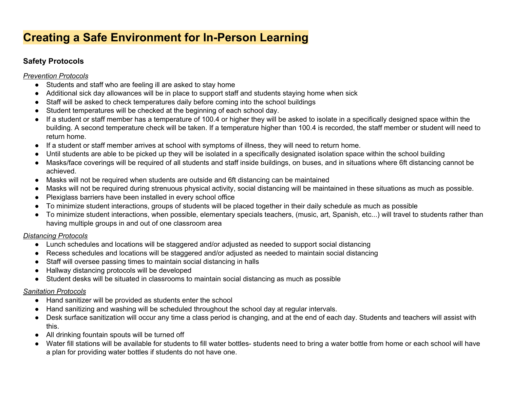### **Creating a Safe Environment for In-Person Learning**

### **Safety Protocols**

### *Prevention Protocols*

- Students and staff who are feeling ill are asked to stay home
- Additional sick day allowances will be in place to support staff and students staying home when sick
- Staff will be asked to check temperatures daily before coming into the school buildings
- Student temperatures will be checked at the beginning of each school day.
- If a student or staff member has a temperature of 100.4 or higher they will be asked to isolate in a specifically designed space within the building. A second temperature check will be taken. If a temperature higher than 100.4 is recorded, the staff member or student will need to return home.
- If a student or staff member arrives at school with symptoms of illness, they will need to return home.
- Until students are able to be picked up they will be isolated in a specifically designated isolation space within the school building
- Masks/face coverings will be required of all students and staff inside buildings, on buses, and in situations where 6ft distancing cannot be achieved.
- Masks will not be required when students are outside and 6ft distancing can be maintained
- Masks will not be required during strenuous physical activity, social distancing will be maintained in these situations as much as possible.
- Plexiglass barriers have been installed in every school office
- To minimize student interactions, groups of students will be placed together in their daily schedule as much as possible
- To minimize student interactions, when possible, elementary specials teachers, (music, art, Spanish, etc...) will travel to students rather than having multiple groups in and out of one classroom area

### *Distancing Protocols*

- Lunch schedules and locations will be staggered and/or adjusted as needed to support social distancing
- Recess schedules and locations will be staggered and/or adjusted as needed to maintain social distancing
- Staff will oversee passing times to maintain social distancing in halls
- Hallway distancing protocols will be developed
- Student desks will be situated in classrooms to maintain social distancing as much as possible

### *Sanitation Protocols*

- Hand sanitizer will be provided as students enter the school
- Hand sanitizing and washing will be scheduled throughout the school day at regular intervals.
- Desk surface sanitization will occur any time a class period is changing, and at the end of each day. Students and teachers will assist with this.
- All drinking fountain spouts will be turned off
- Water fill stations will be available for students to fill water bottles- students need to bring a water bottle from home or each school will have a plan for providing water bottles if students do not have one.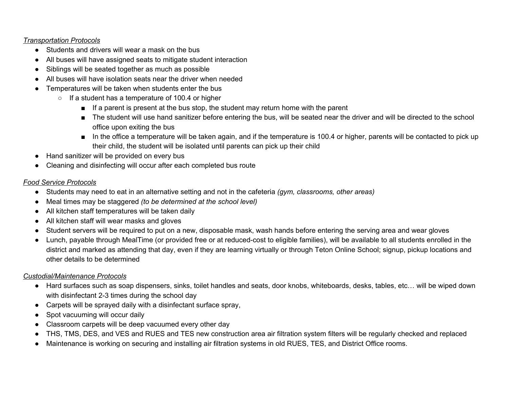#### *Transportation Protocols*

- Students and drivers will wear a mask on the bus
- All buses will have assigned seats to mitigate student interaction
- Siblings will be seated together as much as possible
- All buses will have isolation seats near the driver when needed
- Temperatures will be taken when students enter the bus
	- If a student has a temperature of 100.4 or higher
		- If a parent is present at the bus stop, the student may return home with the parent
		- The student will use hand sanitizer before entering the bus, will be seated near the driver and will be directed to the school office upon exiting the bus
		- In the office a temperature will be taken again, and if the temperature is 100.4 or higher, parents will be contacted to pick up their child, the student will be isolated until parents can pick up their child
- Hand sanitizer will be provided on every bus
- Cleaning and disinfecting will occur after each completed bus route

### *Food Service Protocols*

- Students may need to eat in an alternative setting and not in the cafeteria *(gym, classrooms, other areas)*
- Meal times may be staggered *(to be determined at the school level)*
- All kitchen staff temperatures will be taken daily
- All kitchen staff will wear masks and gloves
- Student servers will be required to put on a new, disposable mask, wash hands before entering the serving area and wear gloves
- Lunch, payable through MealTime (or provided free or at reduced-cost to eligible families), will be available to all students enrolled in the district and marked as attending that day, even if they are learning virtually or through Teton Online School; signup, pickup locations and other details to be determined

### *Custodial/Maintenance Protocols*

- Hard surfaces such as soap dispensers, sinks, toilet handles and seats, door knobs, whiteboards, desks, tables, etc… will be wiped down with disinfectant 2-3 times during the school day
- Carpets will be sprayed daily with a disinfectant surface spray,
- Spot vacuuming will occur daily
- Classroom carpets will be deep vacuumed every other day
- THS, TMS, DES, and VES and RUES and TES new construction area air filtration system filters will be regularly checked and replaced
- Maintenance is working on securing and installing air filtration systems in old RUES, TES, and District Office rooms.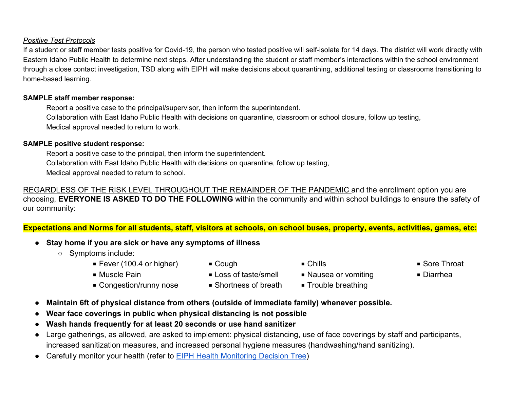#### *Positive Test Protocols*

If a student or staff member tests positive for Covid-19, the person who tested positive will self-isolate for 14 days. The district will work directly with Eastern Idaho Public Health to determine next steps. After understanding the student or staff member's interactions within the school environment through a close contact investigation, TSD along with EIPH will make decisions about quarantining, additional testing or classrooms transitioning to home-based learning.

#### **SAMPLE staff member response:**

Report a positive case to the principal/supervisor, then inform the superintendent. Collaboration with East Idaho Public Health with decisions on quarantine, classroom or school closure, follow up testing, Medical approval needed to return to work.

#### **SAMPLE positive student response:**

Report a positive case to the principal, then inform the superintendent. Collaboration with East Idaho Public Health with decisions on quarantine, follow up testing, Medical approval needed to return to school.

REGARDLESS OF THE RISK LEVEL THROUGHOUT THE REMAINDER OF THE PANDEMIC and the enrollment option you are choosing, **EVERYONE IS ASKED TO DO THE FOLLOWING** within the community and within school buildings to ensure the safety of our community:

**Expectations and Norms for all students, staff, visitors at schools, on school buses, property, events, activities, games, etc:** 

- **Stay home if you are sick or have any symptoms of illness** 
	- Symptoms include:
		- Fever (100.4 or higher) Cough Chills Chills Sore Throat
			-

- 
- Muscle Pain Loss of taste/smell Nausea or vomiting Diarrhea
	-
- Congestion/runny nose Shortness of breath Trouble breathing
	-
- **Maintain 6ft of physical distance from others (outside of immediate family) whenever possible.**
- **Wear face coverings in public when physical distancing is not possible**
- **Wash hands frequently for at least 20 seconds or use hand sanitizer**
- Large gatherings, as allowed, are asked to implement: physical distancing, use of face coverings by staff and participants, increased sanitization measures, and increased personal hygiene measures (handwashing/hand sanitizing).
- Carefully monitor your health (refer to [EIPH Health Monitoring Decision Tree\)](https://eiph.idaho.gov/Home/Hot%20Topics/Coronavirus/EIPH%20COVID19%20Decision%20Tree%20wMonitoring%20Log_rev%207-06-20.pdf)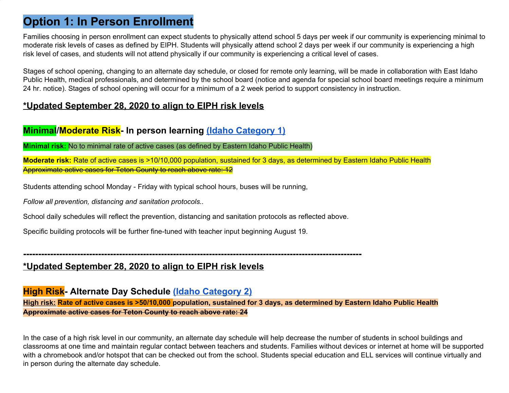### **Option 1: In Person Enrollment**

Families choosing in person enrollment can expect students to physically attend school 5 days per week if our community is experiencing minimal to moderate risk levels of cases as defined by EIPH. Students will physically attend school 2 days per week if our community is experiencing a high risk level of cases, and students will not attend physically if our community is experiencing a critical level of cases.

Stages of school opening, changing to an alternate day schedule, or closed for remote only learning, will be made in collaboration with East Idaho Public Health, medical professionals, and determined by the school board (notice and agenda for special school board meetings require a minimum 24 hr. notice). Stages of school opening will occur for a minimum of a 2 week period to support consistency in instruction.

### **\*Updated September 28, 2020 to align to EIPH risk levels**

### **Minimal/Moderate Risk- In person learning [\(Idaho Category 1\)](https://www.sde.idaho.gov/re-opening/files/Idaho-Back-to-School-Framework-2020.pdf)**

**Minimal risk:** No to minimal rate of active cases (as defined by Eastern Idaho Public Health)

**Moderate risk:** Rate of active cases is >10/10,000 population, sustained for 3 days, as determined by Eastern Idaho Public Health Approximate active cases for Teton County to reach above rate: 12

Students attending school Monday - Friday with typical school hours, buses will be running,

*Follow all prevention, distancing and sanitation protocols..* 

School daily schedules will reflect the prevention, distancing and sanitation protocols as reflected above.

Specific building protocols will be further fine-tuned with teacher input beginning August 19.

**-----------------------------------------------------------------------------------------------------------------** 

### **\*Updated September 28, 2020 to align to EIPH risk levels**

**High Risk- Alternate Day Schedule [\(Idaho Category 2\)](https://www.sde.idaho.gov/re-opening/files/Idaho-Back-to-School-Framework-2020.pdf)**

**High risk: Rate of active cases is >50/10,000 population, sustained for 3 days, as determined by Eastern Idaho Public Health Approximate active cases for Teton County to reach above rate: 24** 

In the case of a high risk level in our community, an alternate day schedule will help decrease the number of students in school buildings and classrooms at one time and maintain regular contact between teachers and students. Families without devices or internet at home will be supported with a chromebook and/or hotspot that can be checked out from the school. Students special education and ELL services will continue virtually and in person during the alternate day schedule.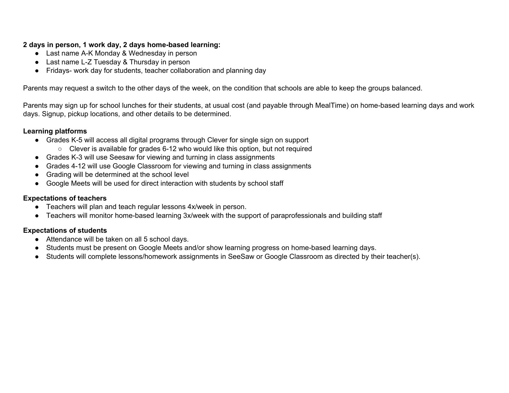### **2 days in person, 1 work day, 2 days home-based learning:**

- Last name A-K Monday & Wednesday in person
- Last name L-Z Tuesday & Thursday in person
- Fridays- work day for students, teacher collaboration and planning day

Parents may request a switch to the other days of the week, on the condition that schools are able to keep the groups balanced.

Parents may sign up for school lunches for their students, at usual cost (and payable through MealTime) on home-based learning days and work days. Signup, pickup locations, and other details to be determined.

#### **Learning platforms**

- Grades K-5 will access all digital programs through Clever for single sign on support
	- Clever is available for grades 6-12 who would like this option, but not required
- Grades K-3 will use Seesaw for viewing and turning in class assignments
- Grades 4-12 will use Google Classroom for viewing and turning in class assignments
- Grading will be determined at the school level
- Google Meets will be used for direct interaction with students by school staff

### **Expectations of teachers**

- Teachers will plan and teach regular lessons 4x/week in person.
- Teachers will monitor home-based learning 3x/week with the support of paraprofessionals and building staff

### **Expectations of students**

- Attendance will be taken on all 5 school days.
- Students must be present on Google Meets and/or show learning progress on home-based learning days.
- Students will complete lessons/homework assignments in SeeSaw or Google Classroom as directed by their teacher(s).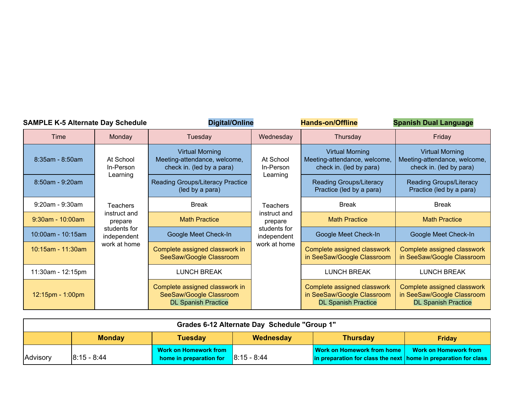| <b>SAMPLE K-5 Alternate Day Schedule</b> |                       |                             | <b>Digital/Online</b>                                                                   |                             | <b>Hands-on/Offline</b>                                                                 | <b>Spanish Dual Language</b>                                                            |  |
|------------------------------------------|-----------------------|-----------------------------|-----------------------------------------------------------------------------------------|-----------------------------|-----------------------------------------------------------------------------------------|-----------------------------------------------------------------------------------------|--|
|                                          | Time                  | Monday                      | Tuesday                                                                                 | Wednesday                   | Thursday                                                                                | Friday                                                                                  |  |
|                                          | $8:35am - 8:50am$     | At School<br>In-Person      | <b>Virtual Morning</b><br>Meeting-attendance, welcome,<br>check in. (led by a para)     | At School<br>In-Person      | <b>Virtual Morning</b><br>Meeting-attendance, welcome,<br>check in. (led by para)       | <b>Virtual Morning</b><br>Meeting-attendance, welcome,<br>check in. (led by para)       |  |
|                                          | $8:50am - 9:20am$     | Learning                    | Reading Groups/Literacy Practice<br>(led by a para)                                     | Learning                    | <b>Reading Groups/Literacy</b><br>Practice (led by a para)                              | <b>Reading Groups/Literacy</b><br>Practice (led by a para)                              |  |
|                                          | $9:20$ am - $9:30$ am | <b>Teachers</b>             | <b>Break</b>                                                                            | <b>Teachers</b>             | <b>Break</b>                                                                            | <b>Break</b>                                                                            |  |
|                                          | $9:30$ am - 10:00am   | instruct and<br>prepare     | <b>Math Practice</b>                                                                    | instruct and<br>prepare     | <b>Math Practice</b>                                                                    | <b>Math Practice</b>                                                                    |  |
|                                          | 10:00am - 10:15am     | students for<br>independent | Google Meet Check-In                                                                    | students for<br>independent | Google Meet Check-In                                                                    | Google Meet Check-In                                                                    |  |
|                                          | 10:15am - 11:30am     | work at home                | Complete assigned classwork in<br>SeeSaw/Google Classroom                               | work at home                | Complete assigned classwork<br>in SeeSaw/Google Classroom                               | Complete assigned classwork<br>in SeeSaw/Google Classroom                               |  |
|                                          | 11:30am - 12:15pm     |                             | <b>LUNCH BREAK</b>                                                                      |                             | <b>LUNCH BREAK</b>                                                                      | <b>LUNCH BREAK</b>                                                                      |  |
|                                          | 12:15pm - 1:00pm      |                             | Complete assigned classwork in<br>SeeSaw/Google Classroom<br><b>DL Spanish Practice</b> |                             | Complete assigned classwork<br>in SeeSaw/Google Classroom<br><b>DL Spanish Practice</b> | Complete assigned classwork<br>in SeeSaw/Google Classroom<br><b>DL Spanish Practice</b> |  |

| Grades 6-12 Alternate Day Schedule "Group 1" |                 |                                                         |               |                                                                                                                              |                       |  |  |
|----------------------------------------------|-----------------|---------------------------------------------------------|---------------|------------------------------------------------------------------------------------------------------------------------------|-----------------------|--|--|
|                                              | <b>Monday</b>   | Tuesday                                                 | Wednesday     | <b>Thursday</b>                                                                                                              | <b>Friday</b>         |  |  |
| Advisory                                     | $ 8:15 - 8:44 $ | <b>Work on Homework from</b><br>home in preparation for | $8:15 - 8:44$ | <b>Work on Homework from home</b><br>$\vert$ in preparation for class the next $\vert$ home in preparation for class $\vert$ | Work on Homework from |  |  |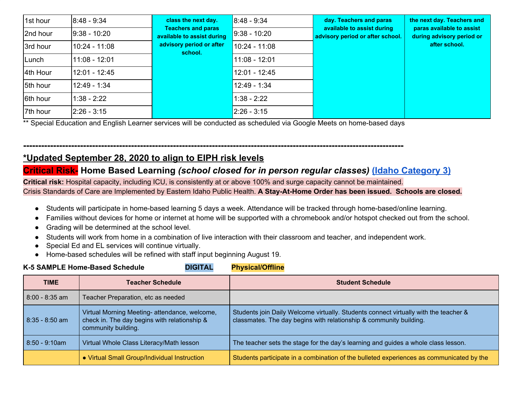| 1st hour | $8:48 - 9:34$   | class the next day.                                     | $8:48 - 9:34$   | day. Teachers and paras                                        | the next day. Teachers and                             |               |  |  |                 |  |  |
|----------|-----------------|---------------------------------------------------------|-----------------|----------------------------------------------------------------|--------------------------------------------------------|---------------|--|--|-----------------|--|--|
| 2nd hour | $9:38 - 10:20$  | <b>Teachers and paras</b><br>available to assist during | $9:38 - 10:20$  | available to assist during<br>advisory period or after school. | paras available to assist<br>during advisory period or |               |  |  |                 |  |  |
| 3rd hour | l10:24 - 11:08  | advisory period or after                                | school.         | 10:24 - 11:08                                                  |                                                        | after school. |  |  |                 |  |  |
| Lunch    | 11:08 - 12:01   |                                                         | $11:08 - 12:01$ |                                                                |                                                        |               |  |  |                 |  |  |
| 4th Hour | 12:01 - 12:45   |                                                         |                 |                                                                |                                                        |               |  |  | $12:01 - 12:45$ |  |  |
| 5th hour | 12:49 - 1:34    |                                                         | $12:49 - 1:34$  |                                                                |                                                        |               |  |  |                 |  |  |
| 6th hour | $1:38 - 2:22$   |                                                         | $1:38 - 2:22$   |                                                                |                                                        |               |  |  |                 |  |  |
| 7th hour | $ 2:26 - 3:15 $ |                                                         | $2:26 - 3:15$   |                                                                |                                                        |               |  |  |                 |  |  |

\*\* Special Education and English Learner services will be conducted as scheduled via Google Meets on home-based days

### **-------------------------------------------------------------------------------------------------------------------------------**

## **\*Updated September 28, 2020 to align to EIPH risk levels**

### **Critical Risk- Home Based Learning** *(school closed for in person regular classes)* **[\(Idaho Category 3\)](https://www.sde.idaho.gov/re-opening/files/Idaho-Back-to-School-Framework-2020.pdf)**

**Critical risk:** Hospital capacity, including ICU, is consistently at or above 100% and surge capacity cannot be maintained.

Crisis Standards of Care are Implemented by Eastern Idaho Public Health. **A Stay-At-Home Order has been issued. Schools are closed.** 

- Students will participate in home-based learning 5 days a week. Attendance will be tracked through home-based/online learning.
- Families without devices for home or internet at home will be supported with a chromebook and/or hotspot checked out from the school.
- Grading will be determined at the school level.
- Students will work from home in a combination of live interaction with their classroom and teacher, and independent work.
- Special Ed and EL services will continue virtually.
- Home-based schedules will be refined with staff input beginning August 19. **K-5 SAMPLE Home-Based Schedule DIGITAL Physical/Offline**

|                  | <b>R-9 SAMPLE HOME-BASED SCREDULE</b><br>DIGHAL                                                                      | <b>Priysical/Ulline</b>                                                                                                                                    |
|------------------|----------------------------------------------------------------------------------------------------------------------|------------------------------------------------------------------------------------------------------------------------------------------------------------|
| <b>TIME</b>      | <b>Teacher Schedule</b>                                                                                              | <b>Student Schedule</b>                                                                                                                                    |
| $8:00 - 8:35$ am | Teacher Preparation, etc as needed                                                                                   |                                                                                                                                                            |
| $8:35 - 8:50$ am | Virtual Morning Meeting- attendance, welcome,<br>check in. The day begins with relationship &<br>community building. | Students join Daily Welcome virtually. Students connect virtually with the teacher &<br>classmates. The day begins with relationship & community building. |
| $8:50 - 9:10am$  | Virtual Whole Class Literacy/Math lesson                                                                             | The teacher sets the stage for the day's learning and guides a whole class lesson.                                                                         |
|                  | • Virtual Small Group/Individual Instruction                                                                         | Students participate in a combination of the bulleted experiences as communicated by the                                                                   |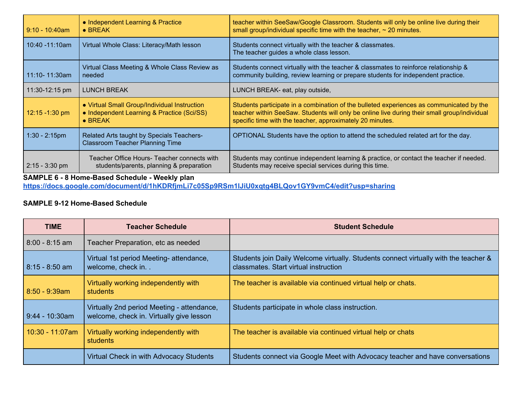| $9:10 - 10:40$ am  | • Independent Learning & Practice<br>$\bullet$ BREAK                                                          | teacher within SeeSaw/Google Classroom. Students will only be online live during their<br>small group/individual specific time with the teacher, $\sim$ 20 minutes.                                                                                   |
|--------------------|---------------------------------------------------------------------------------------------------------------|-------------------------------------------------------------------------------------------------------------------------------------------------------------------------------------------------------------------------------------------------------|
| $10:40 - 11:10$ am | Virtual Whole Class: Literacy/Math lesson                                                                     | Students connect virtually with the teacher & classmates.<br>The teacher guides a whole class lesson.                                                                                                                                                 |
| 11:10-11:30am      | Virtual Class Meeting & Whole Class Review as<br>needed                                                       | Students connect virtually with the teacher & classmates to reinforce relationship &<br>community building, review learning or prepare students for independent practice.                                                                             |
| $11:30-12:15$ pm   | <b>LUNCH BREAK</b>                                                                                            | LUNCH BREAK- eat, play outside,                                                                                                                                                                                                                       |
| 12:15 -1:30 pm     | • Virtual Small Group/Individual Instruction<br>• Independent Learning & Practice (Sci/SS)<br>$\bullet$ BREAK | Students participate in a combination of the bulleted experiences as communicated by the<br>teacher within SeeSaw. Students will only be online live during their small group/individual<br>specific time with the teacher, approximately 20 minutes. |
| $1:30 - 2:15$ pm   | Related Arts taught by Specials Teachers-<br><b>Classroom Teacher Planning Time</b>                           | OPTIONAL Students have the option to attend the scheduled related art for the day.                                                                                                                                                                    |
| $2:15 - 3:30$ pm   | Teacher Office Hours- Teacher connects with<br>students/parents, planning & preparation                       | Students may continue independent learning & practice, or contact the teacher if needed.<br>Students may receive special services during this time.                                                                                                   |

### **SAMPLE 6 - 8 Home-Based Schedule - Weekly plan**

**<https://docs.google.com/document/d/1hKDRfjmLi7c05Sp9RSm1lJiU0xqtg4BLQov1GY9vmC4/edit?usp=sharing>**

### **SAMPLE 9-12 Home-Based Schedule**

| <b>TIME</b>       | <b>Teacher Schedule</b>                                                                | <b>Student Schedule</b>                                                                                                       |
|-------------------|----------------------------------------------------------------------------------------|-------------------------------------------------------------------------------------------------------------------------------|
| $8:00 - 8:15$ am  | Teacher Preparation, etc as needed                                                     |                                                                                                                               |
| $8:15 - 8:50$ am  | Virtual 1st period Meeting- attendance,<br>welcome, check in. .                        | Students join Daily Welcome virtually. Students connect virtually with the teacher &<br>classmates. Start virtual instruction |
| $8:50 - 9:39am$   | Virtually working independently with<br>students                                       | The teacher is available via continued virtual help or chats.                                                                 |
| $9:44 - 10:30$ am | Virtually 2nd period Meeting - attendance,<br>welcome, check in. Virtually give lesson | Students participate in whole class instruction.                                                                              |
| $10:30 - 11:07am$ | Virtually working independently with<br>students                                       | The teacher is available via continued virtual help or chats                                                                  |
|                   | Virtual Check in with Advocacy Students                                                | Students connect via Google Meet with Advocacy teacher and have conversations                                                 |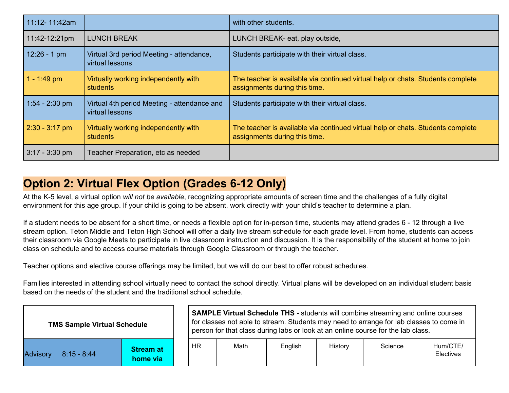| 11:12-11:42am    |                                                                | with other students.                                                                                             |
|------------------|----------------------------------------------------------------|------------------------------------------------------------------------------------------------------------------|
| 11:42-12:21pm    | <b>LUNCH BREAK</b>                                             | LUNCH BREAK- eat, play outside,                                                                                  |
| $12:26 - 1$ pm   | Virtual 3rd period Meeting - attendance,<br>virtual lessons    | Students participate with their virtual class.                                                                   |
| $1 - 1:49$ pm    | Virtually working independently with<br><b>students</b>        | The teacher is available via continued virtual help or chats. Students complete<br>assignments during this time. |
| $1:54 - 2:30$ pm | Virtual 4th period Meeting - attendance and<br>virtual lessons | Students participate with their virtual class.                                                                   |
| $2:30 - 3:17$ pm | Virtually working independently with<br><b>students</b>        | The teacher is available via continued virtual help or chats. Students complete<br>assignments during this time. |
| $3:17 - 3:30$ pm | Teacher Preparation, etc as needed                             |                                                                                                                  |

### **Option 2: Virtual Flex Option (Grades 6-12 Only)**

At the K-5 level, a virtual option *will not be available*, recognizing appropriate amounts of screen time and the challenges of a fully digital environment for this age group. If your child is going to be absent, work directly with your child's teacher to determine a plan.

If a student needs to be absent for a short time, or needs a flexible option for in-person time, students may attend grades 6 - 12 through a live stream option. Teton Middle and Teton High School will offer a daily live stream schedule for each grade level. From home, students can access their classroom via Google Meets to participate in live classroom instruction and discussion. It is the responsibility of the student at home to join class on schedule and to access course materials through Google Classroom or through the teacher.

Teacher options and elective course offerings may be limited, but we will do our best to offer robust schedules.

Families interested in attending school virtually need to contact the school directly. Virtual plans will be developed on an individual student basis based on the needs of the student and the traditional school schedule.

|                 | <b>TMS Sample Virtual Schedule</b> |                              |
|-----------------|------------------------------------|------------------------------|
| <b>Advisory</b> | l8:15 - 8:44                       | <b>Stream at</b><br>home via |

**SAMPLE Virtual Schedule THS - students will combine streaming and online courses** for classes not able to stream. Students may need to arrange for lab classes to come in person for that class during labs or look at an online course for the lab class.

| HR | Math | English | History | Science | Hum/CTE/<br><b>Electives</b> |
|----|------|---------|---------|---------|------------------------------|
|----|------|---------|---------|---------|------------------------------|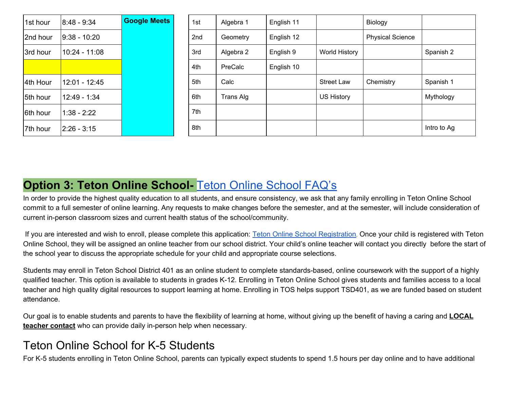| 1st hour | $8:48 - 9:34$   | <b>Google Meets</b> | 1st             |
|----------|-----------------|---------------------|-----------------|
| 2nd hour | $9:38 - 10:20$  |                     | 2 <sub>nd</sub> |
| 3rd hour | 10:24 - 11:08   |                     | 3rd             |
|          |                 |                     | 4th             |
| 4th Hour | $12:01 - 12:45$ |                     | 5th             |
| 5th hour | $12:49 - 1:34$  |                     | 6th             |
| 6th hour | $1:38 - 2:22$   |                     | 7th             |
| 7th hour | $2:26 - 3:15$   |                     | 8th             |

| 1st hour | $8:48 - 9:34$   | <b>Google Meets</b> | 1st | Algebra 1 | English 11 |                      | Biology                 |             |
|----------|-----------------|---------------------|-----|-----------|------------|----------------------|-------------------------|-------------|
| 2nd hour | $9:38 - 10:20$  |                     | 2nd | Geometry  | English 12 |                      | <b>Physical Science</b> |             |
| 3rd hour | $10:24 - 11:08$ |                     | 3rd | Algebra 2 | English 9  | <b>World History</b> |                         | Spanish 2   |
|          |                 |                     | 4th | PreCalc   | English 10 |                      |                         |             |
| 4th Hour | 12:01 - 12:45   |                     | 5th | Calc      |            | <b>Street Law</b>    | Chemistry               | Spanish 1   |
| 5th hour | $12:49 - 1:34$  |                     | 6th | Trans Alg |            | <b>US History</b>    |                         | Mythology   |
| 6th hour | $1:38 - 2:22$   |                     | 7th |           |            |                      |                         |             |
| 7th hour | $2:26 - 3:15$   |                     | 8th |           |            |                      |                         | Intro to Ag |

### **Option 3: Teton Online School- [Teton Online School FAQ's](https://tms.tsd401.org/classes/programs/teton-online-school/faq-teton-online-school/)**

In order to provide the highest quality education to all students, and ensure consistency, we ask that any family enrolling in Teton Online School commit to a full semester of online learning. Any requests to make changes before the semester, and at the semester, will include consideration of current in-person classroom sizes and current health status of the school/community.

If you are interested and wish to enroll, please complete this application: [Teton Online School Registration](https://docs.google.com/forms/d/e/1FAIpQLScXEfhEdMs_aEA6C-pPpdUWfT-UHqXQW681cUH8dTuBFNmcCw/viewform?usp=sf_link). Once your child is registered with Teton Online School, they will be assigned an online teacher from our school district. Your child's online teacher will contact you directly before the start of the school year to discuss the appropriate schedule for your child and appropriate course selections.

Students may enroll in Teton School District 401 as an online student to complete standards-based, online coursework with the support of a highly qualified teacher. This option is available to students in grades K-12. Enrolling in Teton Online School gives students and families access to a local teacher and high quality digital resources to support learning at home. Enrolling in TOS helps support TSD401, as we are funded based on student attendance.

Our goal is to enable students and parents to have the flexibility of learning at home, without giving up the benefit of having a caring and **LOCAL teacher contact** who can provide daily in-person help when necessary.

### Teton Online School for K-5 Students

For K-5 students enrolling in Teton Online School, parents can typically expect students to spend 1.5 hours per day online and to have additional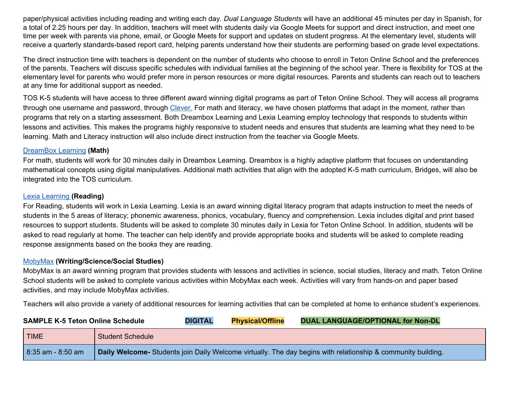paper/physical activities including reading and writing each day. *Dual Language Students* will have an additional 45 minutes per day in Spanish, for a total of 2.25 hours per day. In addition, teachers will meet with students daily via Google Meets for support and direct instruction, and meet one time per week with parents via phone, email, or Google Meets for support and updates on student progress. At the elementary level, students will receive a quarterly standards-based report card, helping parents understand how their students are performing based on grade level expectations.

The direct instruction time with teachers is dependent on the number of students who choose to enroll in Teton Online School and the preferences of the parents. Teachers will discuss specific schedules with individual families at the beginning of the school year. There is flexibility for TOS at the elementary level for parents who would prefer more in person resources or more digital resources. Parents and students can reach out to teachers at any time for additional support as needed.

TOS K-5 students will have access to three different award winning digital programs as part of Teton Online School. They will access all programs through one username and password, through [Clever.](https://clever.com/) For math and literacy, we have chosen platforms that adapt in the moment, rather than programs that rely on a starting assessment. Both Dreambox Learning and Lexia Learning employ technology that responds to students within lessons and activities. This makes the programs highly responsive to student needs and ensures that students are learning what they need to be learning. Math and Literacy instruction will also include direct instruction from the teacher via Google Meets.

#### [DreamBox Learning](https://www.dreambox.com/) **(Math)**

For math, students will work for 30 minutes daily in Dreambox Learning. Dreambox is a highly adaptive platform that focuses on understanding mathematical concepts using digital manipulatives. Additional math activities that align with the adopted K-5 math curriculum, Bridges, will also be integrated into the TOS curriculum.

#### [Lexia Learning](https://www.lexialearning.com/products/core5) **(Reading)**

For Reading, students will work in Lexia Learning. Lexia is an award winning digital literacy program that adapts instruction to meet the needs of students in the 5 areas of literacy; phonemic awareness, phonics, vocabulary, fluency and comprehension. Lexia includes digital and print based resources to support students. Students will be asked to complete 30 minutes daily in Lexia for Teton Online School. In addition, students will be asked to read regularly at home. The teacher can help identify and provide appropriate books and students will be asked to complete reading response assignments based on the books they are reading.

#### [MobyMax](https://www.mobymax.com/) **(Writing/Science/Social Studies)**

MobyMax is an award winning program that provides students with lessons and activities in science, social studies, literacy and math. Teton Online School students will be asked to complete various activities within MobyMax each week. Activities will vary from hands-on and paper based activities, and may include MobyMax activities.

Teachers will also provide a variety of additional resources for learning activities that can be completed at home to enhance student's experiences.

| <b>SAMPLE K-5 Teton Online Schedule</b> |                                                                                                              | <b>DIGITAL</b> | <b>Physical/Offline</b> | <b>DUAL LANGUAGE/OPTIONAL for Non-DL</b> |  |  |
|-----------------------------------------|--------------------------------------------------------------------------------------------------------------|----------------|-------------------------|------------------------------------------|--|--|
| <b>TIME</b>                             | <b>Student Schedule</b>                                                                                      |                |                         |                                          |  |  |
| $8:35$ am - 8:50 am                     | Daily Welcome- Students join Daily Welcome virtually. The day begins with relationship & community building. |                |                         |                                          |  |  |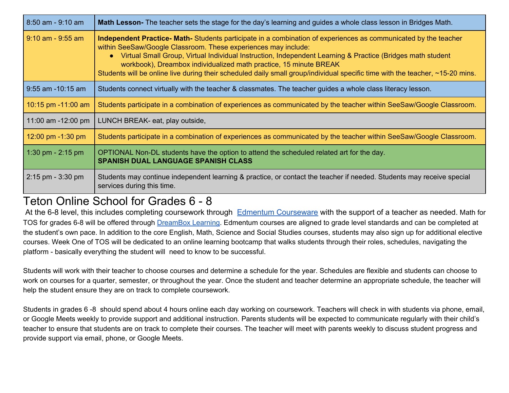| $8:50$ am - 9:10 am   | <b>Math Lesson-</b> The teacher sets the stage for the day's learning and guides a whole class lesson in Bridges Math.                                                                                                                                                                                                                                                                                                                                                                                 |
|-----------------------|--------------------------------------------------------------------------------------------------------------------------------------------------------------------------------------------------------------------------------------------------------------------------------------------------------------------------------------------------------------------------------------------------------------------------------------------------------------------------------------------------------|
| 9:10 am - 9:55 am     | Independent Practice- Math-Students participate in a combination of experiences as communicated by the teacher<br>within SeeSaw/Google Classroom. These experiences may include:<br>• Virtual Small Group, Virtual Individual Instruction, Independent Learning & Practice (Bridges math student<br>workbook), Dreambox individualized math practice, 15 minute BREAK<br>Students will be online live during their scheduled daily small group/individual specific time with the teacher, ~15-20 mins. |
| $9:55$ am $-10:15$ am | Students connect virtually with the teacher & classmates. The teacher guides a whole class literacy lesson.                                                                                                                                                                                                                                                                                                                                                                                            |
| 10:15 pm $-11:00$ am  | Students participate in a combination of experiences as communicated by the teacher within SeeSaw/Google Classroom.                                                                                                                                                                                                                                                                                                                                                                                    |
| 11:00 am -12:00 pm    | LUNCH BREAK- eat, play outside,                                                                                                                                                                                                                                                                                                                                                                                                                                                                        |
| 12:00 pm $-1:30$ pm   | Students participate in a combination of experiences as communicated by the teacher within SeeSaw/Google Classroom.                                                                                                                                                                                                                                                                                                                                                                                    |
| 1:30 pm $-$ 2:15 pm   | OPTIONAL Non-DL students have the option to attend the scheduled related art for the day.<br><b>SPANISH DUAL LANGUAGE SPANISH CLASS</b>                                                                                                                                                                                                                                                                                                                                                                |
| $2:15$ pm - 3:30 pm   | Students may continue independent learning & practice, or contact the teacher if needed. Students may receive special<br>services during this time.                                                                                                                                                                                                                                                                                                                                                    |

### Teton Online School for Grades 6 - 8

At the 6-8 level, this includes completing coursework through [Edmentum Courseware](https://www.edmentum.com/products/courseware) with the support of a teacher as needed. Math for TOS for grades 6-8 will be offered through [DreamBox Learning](https://www.dreambox.com/). Edmentum courses are aligned to grade level standards and can be completed at the student's own pace. In addition to the core English, Math, Science and Social Studies courses, students may also sign up for additional elective courses. Week One of TOS will be dedicated to an online learning bootcamp that walks students through their roles, schedules, navigating the platform - basically everything the student will need to know to be successful.

Students will work with their teacher to choose courses and determine a schedule for the year. Schedules are flexible and students can choose to work on courses for a quarter, semester, or throughout the year. Once the student and teacher determine an appropriate schedule, the teacher will help the student ensure they are on track to complete coursework.

Students in grades 6 -8 should spend about 4 hours online each day working on coursework. Teachers will check in with students via phone, email, or Google Meets weekly to provide support and additional instruction. Parents students will be expected to communicate regularly with their child's teacher to ensure that students are on track to complete their courses. The teacher will meet with parents weekly to discuss student progress and provide support via email, phone, or Google Meets.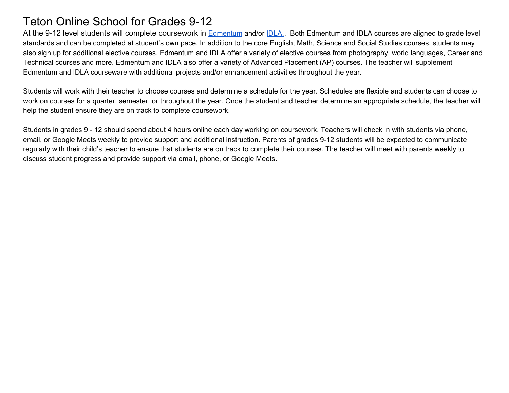### Teton Online School for Grades 9-12

At the 9-12 level students will complete coursework in [Edmentum](https://www.edmentum.com/products/courseware) and/or [IDLA.](https://www.idahodigitallearning.org/login/) Both Edmentum and IDLA courses are aligned to grade level standards and can be completed at student's own pace. In addition to the core English, Math, Science and Social Studies courses, students may also sign up for additional elective courses. Edmentum and IDLA offer a variety of elective courses from photography, world languages, Career and Technical courses and more. Edmentum and IDLA also offer a variety of Advanced Placement (AP) courses. The teacher will supplement Edmentum and IDLA courseware with additional projects and/or enhancement activities throughout the year.

Students will work with their teacher to choose courses and determine a schedule for the year. Schedules are flexible and students can choose to work on courses for a quarter, semester, or throughout the year. Once the student and teacher determine an appropriate schedule, the teacher will help the student ensure they are on track to complete coursework.

Students in grades 9 - 12 should spend about 4 hours online each day working on coursework. Teachers will check in with students via phone, email, or Google Meets weekly to provide support and additional instruction. Parents of grades 9-12 students will be expected to communicate regularly with their child's teacher to ensure that students are on track to complete their courses. The teacher will meet with parents weekly to discuss student progress and provide support via email, phone, or Google Meets.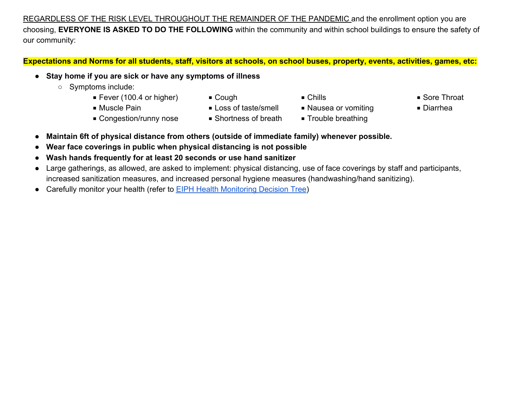REGARDLESS OF THE RISK LEVEL THROUGHOUT THE REMAINDER OF THE PANDEMIC and the enrollment option you are choosing, **EVERYONE IS ASKED TO DO THE FOLLOWING** within the community and within school buildings to ensure the safety of our community:

### **Expectations and Norms for all students, staff, visitors at schools, on school buses, property, events, activities, games, etc:**

- **Stay home if you are sick or have any symptoms of illness** 
	- Symptoms include:
		- Fever (100.4 or higher) Cough Chills Chills Sore Throat
		-
- 
- Muscle Pain Loss of taste/smell Nausea or vomiting Diarrhea
	-
- Congestion/runny nose Shortness of breath Trouble breathing
- 
- 
- 
- **Maintain 6ft of physical distance from others (outside of immediate family) whenever possible.**
- **Wear face coverings in public when physical distancing is not possible**
- **Wash hands frequently for at least 20 seconds or use hand sanitizer**
- Large gatherings, as allowed, are asked to implement: physical distancing, use of face coverings by staff and participants, increased sanitization measures, and increased personal hygiene measures (handwashing/hand sanitizing).
- Carefully monitor your health (refer to **EIPH Health Monitoring Decision Tree)**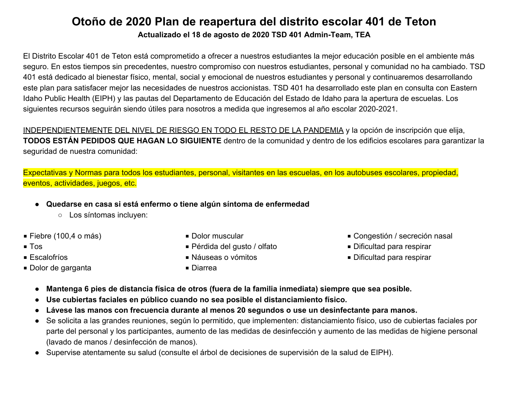### **Otoño de 2020 Plan de reapertura del distrito escolar 401 de Teton Actualizado el 18 de agosto de 2020 TSD 401 Admin-Team, TEA**

El Distrito Escolar 401 de Teton está comprometido a ofrecer a nuestros estudiantes la mejor educación posible en el ambiente más seguro. En estos tiempos sin precedentes, nuestro compromiso con nuestros estudiantes, personal y comunidad no ha cambiado. TSD 401 está dedicado al bienestar físico, mental, social y emocional de nuestros estudiantes y personal y continuaremos desarrollando este plan para satisfacer mejor las necesidades de nuestros accionistas. TSD 401 ha desarrollado este plan en consulta con Eastern Idaho Public Health (EIPH) y las pautas del Departamento de Educación del Estado de Idaho para la apertura de escuelas. Los siguientes recursos seguirán siendo útiles para nosotros a medida que ingresemos al año escolar 2020-2021.

INDEPENDIENTEMENTE DEL NIVEL DE RIESGO EN TODO EL RESTO DE LA PANDEMIA y la opción de inscripción que elija, **TODOS ESTÁN PEDIDOS QUE HAGAN LO SIGUIENTE** dentro de la comunidad y dentro de los edificios escolares para garantizar la seguridad de nuestra comunidad:

Expectativas y Normas para todos los estudiantes, personal, visitantes en las escuelas, en los autobuses escolares, propiedad, eventos, actividades, juegos, etc.

- **Quedarse en casa si está enfermo o tiene algún síntoma de enfermedad** 
	- Los síntomas incluyen:
- $\blacksquare$  Fiebre (100,4 o más)
- Tos
- Escalofríos
- Dolor de garganta
- Dolor muscular
- Pérdida del gusto / olfato
- Náuseas o vómitos
- Diarrea
- Congestión / secreción nasal
- Dificultad para respirar
- Dificultad para respirar
- **Mantenga 6 pies de distancia física de otros (fuera de la familia inmediata) siempre que sea posible.**
- **Use cubiertas faciales en público cuando no sea posible el distanciamiento físico.**
- **Lávese las manos con frecuencia durante al menos 20 segundos o use un desinfectante para manos.**
- Se solicita a las grandes reuniones, según lo permitido, que implementen: distanciamiento físico, uso de cubiertas faciales por parte del personal y los participantes, aumento de las medidas de desinfección y aumento de las medidas de higiene personal (lavado de manos / desinfección de manos).
- Supervise atentamente su salud (consulte el árbol de decisiones de supervisión de la salud de EIPH).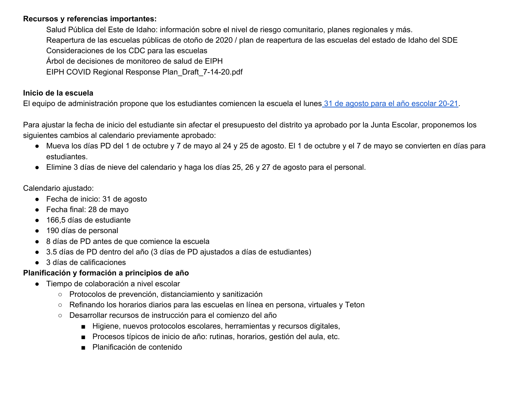### **Recursos y referencias importantes:**

Salud Pública del Este de Idaho: información sobre el nivel de riesgo comunitario, planes regionales y más.

Reapertura de las escuelas públicas de otoño de 2020 / plan de reapertura de las escuelas del estado de Idaho del SDE

Consideraciones de los CDC para las escuelas

Árbol de decisiones de monitoreo de salud de EIPH

EIPH COVID Regional Response Plan\_Draft\_7-14-20.pdf

### **Inicio de la escuela**

El equipo de administración propone que los estudiantes comiencen la escuela el lunes [31 de agosto para el año escolar 20-21](https://drive.google.com/file/d/1SQxUdtDgZh_X_8r8evPHwYw6i-aShlbY/view).

Para ajustar la fecha de inicio del estudiante sin afectar el presupuesto del distrito ya aprobado por la Junta Escolar, proponemos los siguientes cambios al calendario previamente aprobado:

- Mueva los días PD del 1 de octubre y 7 de mayo al 24 y 25 de agosto. El 1 de octubre y el 7 de mayo se convierten en días para estudiantes.
- Elimine 3 días de nieve del calendario y haga los días 25, 26 y 27 de agosto para el personal.

Calendario ajustado:

- Fecha de inicio: 31 de agosto
- Fecha final: 28 de mayo
- 166,5 días de estudiante
- 190 días de personal
- 8 días de PD antes de que comience la escuela
- 3.5 días de PD dentro del año (3 días de PD ajustados a días de estudiantes)
- 3 días de calificaciones

### **Planificación y formación a principios de año**

- Tiempo de colaboración a nivel escolar
	- Protocolos de prevención, distanciamiento y sanitización
	- Refinando los horarios diarios para las escuelas en línea en persona, virtuales y Teton
	- Desarrollar recursos de instrucción para el comienzo del año
		- Higiene, nuevos protocolos escolares, herramientas y recursos digitales,
		- Procesos típicos de inicio de año: rutinas, horarios, gestión del aula, etc.
		- Planificación de contenido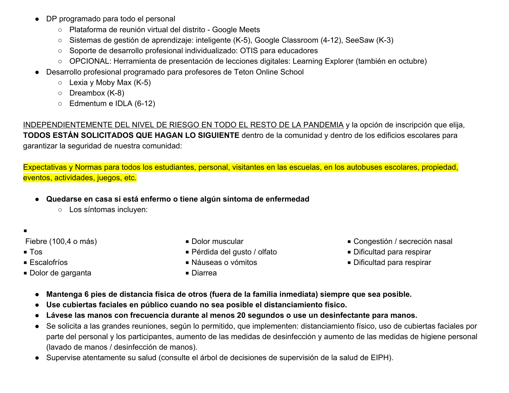- DP programado para todo el personal
	- Plataforma de reunión virtual del distrito Google Meets
	- Sistemas de gestión de aprendizaje: inteligente (K-5), Google Classroom (4-12), SeeSaw (K-3)
	- Soporte de desarrollo profesional individualizado: OTIS para educadores
	- OPCIONAL: Herramienta de presentación de lecciones digitales: Learning Explorer (también en octubre)
- Desarrollo profesional programado para profesores de Teton Online School
	- $\circ$  Lexia y Moby Max (K-5)
	- Dreambox (K-8)
	- Edmentum e IDLA (6-12)

INDEPENDIENTEMENTE DEL NIVEL DE RIESGO EN TODO EL RESTO DE LA PANDEMIA y la opción de inscripción que elija, **TODOS ESTÁN SOLICITADOS QUE HAGAN LO SIGUIENTE** dentro de la comunidad y dentro de los edificios escolares para garantizar la seguridad de nuestra comunidad:

Expectativas y Normas para todos los estudiantes, personal, visitantes en las escuelas, en los autobuses escolares, propiedad, eventos, actividades, juegos, etc.

- **Quedarse en casa si está enfermo o tiene algún síntoma de enfermedad** 
	- Los síntomas incluyen:
- ◾

Fiebre (100,4 o más)

- Tos
- Escalofríos
- Dolor de garganta
- Dolor muscular
- Pérdida del gusto / olfato
- Náuseas o vómitos
- 
- Congestión / secreción nasal
- Dificultad para respirar
- Dificultad para respirar
- **Mantenga 6 pies de distancia física de otros (fuera de la familia inmediata) siempre que sea posible.**
- **Use cubiertas faciales en público cuando no sea posible el distanciamiento físico.**

■ Diarrea

- **Lávese las manos con frecuencia durante al menos 20 segundos o use un desinfectante para manos.**
- Se solicita a las grandes reuniones, según lo permitido, que implementen: distanciamiento físico, uso de cubiertas faciales por parte del personal y los participantes, aumento de las medidas de desinfección y aumento de las medidas de higiene personal (lavado de manos / desinfección de manos).
- Supervise atentamente su salud (consulte el árbol de decisiones de supervisión de la salud de EIPH).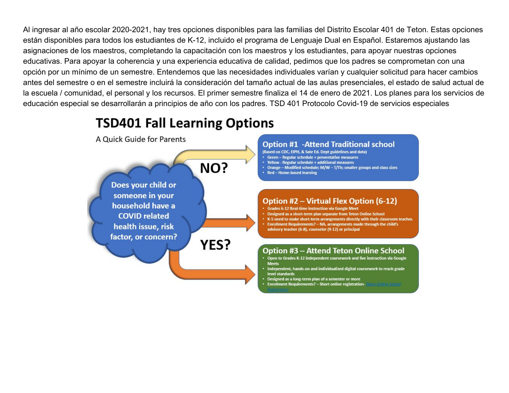Al ingresar al año escolar 2020-2021, hay tres opciones disponibles para las familias del Distrito Escolar 401 de Teton. Estas opciones están disponibles para todos los estudiantes de K-12, incluido el programa de Lenguaje Dual en Español. Estaremos ajustando las asignaciones de los maestros, completando la capacitación con los maestros y los estudiantes, para apoyar nuestras opciones educativas. Para apoyar la coherencia y una experiencia educativa de calidad, pedimos que los padres se comprometan con una opción por un mínimo de un semestre. Entendemos que las necesidades individuales varían y cualquier solicitud para hacer cambios antes del semestre o en el semestre incluirá la consideración del tamaño actual de las aulas presenciales, el estado de salud actual de la escuela / comunidad, el personal y los recursos. El primer semestre finaliza el 14 de enero de 2021. Los planes para los servicios de educación especial se desarrollarán a principios de año con los padres. TSD 401 Protocolo Covid-19 de servicios especiales

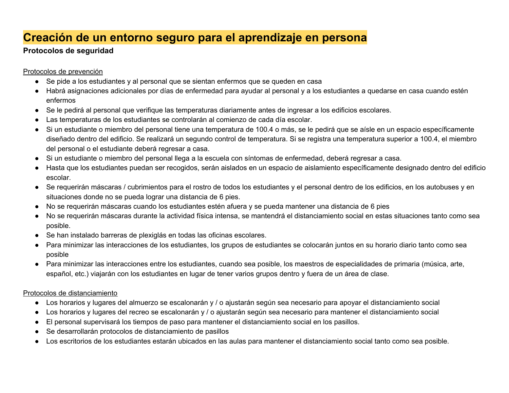### **Creación de un entorno seguro para el aprendizaje en persona**

### **Protocolos de seguridad**

Protocolos de prevención

- Se pide a los estudiantes y al personal que se sientan enfermos que se queden en casa
- Habrá asignaciones adicionales por días de enfermedad para ayudar al personal y a los estudiantes a quedarse en casa cuando estén enfermos
- Se le pedirá al personal que verifique las temperaturas diariamente antes de ingresar a los edificios escolares.
- Las temperaturas de los estudiantes se controlarán al comienzo de cada día escolar.
- Si un estudiante o miembro del personal tiene una temperatura de 100.4 o más, se le pedirá que se aísle en un espacio específicamente diseñado dentro del edificio. Se realizará un segundo control de temperatura. Si se registra una temperatura superior a 100.4, el miembro del personal o el estudiante deberá regresar a casa.
- Si un estudiante o miembro del personal llega a la escuela con síntomas de enfermedad, deberá regresar a casa.
- Hasta que los estudiantes puedan ser recogidos, serán aislados en un espacio de aislamiento específicamente designado dentro del edificio escolar.
- Se requerirán máscaras / cubrimientos para el rostro de todos los estudiantes y el personal dentro de los edificios, en los autobuses y en situaciones donde no se pueda lograr una distancia de 6 pies.
- No se requerirán máscaras cuando los estudiantes estén afuera y se pueda mantener una distancia de 6 pies
- No se requerirán máscaras durante la actividad física intensa, se mantendrá el distanciamiento social en estas situaciones tanto como sea posible.
- Se han instalado barreras de plexiglás en todas las oficinas escolares.
- Para minimizar las interacciones de los estudiantes, los grupos de estudiantes se colocarán juntos en su horario diario tanto como sea posible
- Para minimizar las interacciones entre los estudiantes, cuando sea posible, los maestros de especialidades de primaria (música, arte, español, etc.) viajarán con los estudiantes en lugar de tener varios grupos dentro y fuera de un área de clase.

### Protocolos de distanciamiento

- Los horarios y lugares del almuerzo se escalonarán y / o ajustarán según sea necesario para apoyar el distanciamiento social
- Los horarios y lugares del recreo se escalonarán y / o ajustarán según sea necesario para mantener el distanciamiento social
- El personal supervisará los tiempos de paso para mantener el distanciamiento social en los pasillos.
- Se desarrollarán protocolos de distanciamiento de pasillos
- Los escritorios de los estudiantes estarán ubicados en las aulas para mantener el distanciamiento social tanto como sea posible.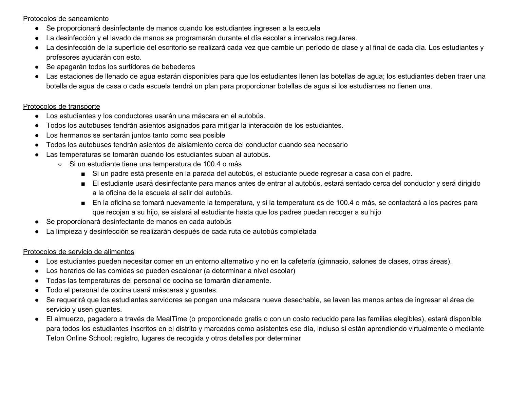Protocolos de saneamiento

- Se proporcionará desinfectante de manos cuando los estudiantes ingresen a la escuela
- La desinfección y el lavado de manos se programarán durante el día escolar a intervalos regulares.
- La desinfección de la superficie del escritorio se realizará cada vez que cambie un período de clase y al final de cada día. Los estudiantes y profesores ayudarán con esto.
- Se apagarán todos los surtidores de bebederos
- Las estaciones de llenado de agua estarán disponibles para que los estudiantes llenen las botellas de agua; los estudiantes deben traer una botella de agua de casa o cada escuela tendrá un plan para proporcionar botellas de agua si los estudiantes no tienen una.

#### Protocolos de transporte

- Los estudiantes y los conductores usarán una máscara en el autobús.
- Todos los autobuses tendrán asientos asignados para mitigar la interacción de los estudiantes.
- Los hermanos se sentarán juntos tanto como sea posible
- Todos los autobuses tendrán asientos de aislamiento cerca del conductor cuando sea necesario
- Las temperaturas se tomarán cuando los estudiantes suban al autobús.
	- Si un estudiante tiene una temperatura de 100.4 o más
		- Si un padre está presente en la parada del autobús, el estudiante puede regresar a casa con el padre.
		- El estudiante usará desinfectante para manos antes de entrar al autobús, estará sentado cerca del conductor y será dirigido a la oficina de la escuela al salir del autobús.
		- En la oficina se tomará nuevamente la temperatura, y si la temperatura es de 100.4 o más, se contactará a los padres para que recojan a su hijo, se aislará al estudiante hasta que los padres puedan recoger a su hijo
- Se proporcionará desinfectante de manos en cada autobús
- La limpieza y desinfección se realizarán después de cada ruta de autobús completada

### Protocolos de servicio de alimentos

- Los estudiantes pueden necesitar comer en un entorno alternativo y no en la cafetería (gimnasio, salones de clases, otras áreas).
- Los horarios de las comidas se pueden escalonar (a determinar a nivel escolar)
- Todas las temperaturas del personal de cocina se tomarán diariamente.
- Todo el personal de cocina usará máscaras y guantes.
- Se requerirá que los estudiantes servidores se pongan una máscara nueva desechable, se laven las manos antes de ingresar al área de servicio y usen guantes.
- El almuerzo, pagadero a través de MealTime (o proporcionado gratis o con un costo reducido para las familias elegibles), estará disponible para todos los estudiantes inscritos en el distrito y marcados como asistentes ese día, incluso si están aprendiendo virtualmente o mediante Teton Online School; registro, lugares de recogida y otros detalles por determinar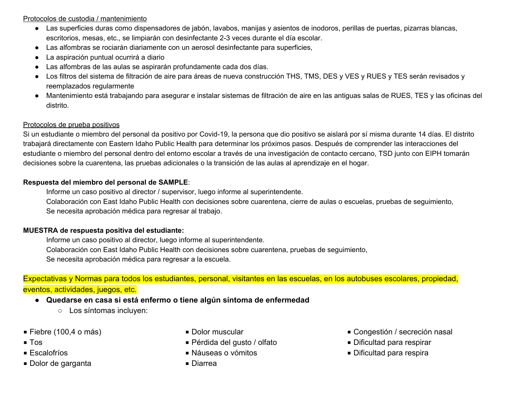Protocolos de custodia / mantenimiento

- Las superficies duras como dispensadores de jabón, lavabos, manijas y asientos de inodoros, perillas de puertas, pizarras blancas, escritorios, mesas, etc., se limpiarán con desinfectante 2-3 veces durante el día escolar.
- Las alfombras se rociarán diariamente con un aerosol desinfectante para superficies,
- La aspiración puntual ocurrirá a diario
- Las alfombras de las aulas se aspirarán profundamente cada dos días.
- Los filtros del sistema de filtración de aire para áreas de nueva construcción THS, TMS, DES y VES y RUES y TES serán revisados y reemplazados regularmente
- Mantenimiento está trabajando para asegurar e instalar sistemas de filtración de aire en las antiguas salas de RUES, TES y las oficinas del distrito.

#### Protocolos de prueba positivos

Si un estudiante o miembro del personal da positivo por Covid-19, la persona que dio positivo se aislará por sí misma durante 14 días. El distrito trabajará directamente con Eastern Idaho Public Health para determinar los próximos pasos. Después de comprender las interacciones del estudiante o miembro del personal dentro del entorno escolar a través de una investigación de contacto cercano, TSD junto con EIPH tomarán decisiones sobre la cuarentena, las pruebas adicionales o la transición de las aulas al aprendizaje en el hogar.

#### **Respuesta del miembro del personal de SAMPLE**:

Informe un caso positivo al director / supervisor, luego informe al superintendente.

Colaboración con East Idaho Public Health con decisiones sobre cuarentena, cierre de aulas o escuelas, pruebas de seguimiento, Se necesita aprobación médica para regresar al trabajo.

### **MUESTRA de respuesta positiva del estudiante:**

Informe un caso positivo al director, luego informe al superintendente. Colaboración con East Idaho Public Health con decisiones sobre cuarentena, pruebas de seguimiento, Se necesita aprobación médica para regresar a la escuela.

Expectativas y Normas para todos los estudiantes, personal, visitantes en las escuelas, en los autobuses escolares, propiedad, eventos, actividades, juegos, etc.

- **Quedarse en casa si está enfermo o tiene algún síntoma de enfermedad** 
	- Los síntomas incluyen:
- $\blacksquare$  Fiebre (100,4 o más)
- Tos
- Escalofríos
- Dolor de garganta
- Dolor muscular
- Pérdida del gusto / olfato
- Náuseas o vómitos
- Diarrea
- Congestión / secreción nasal
- Dificultad para respirar
- Dificultad para respira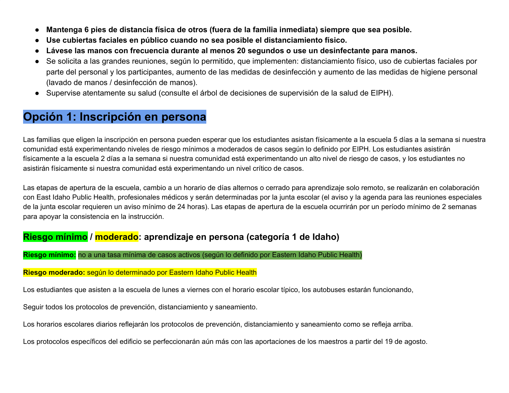- **Mantenga 6 pies de distancia física de otros (fuera de la familia inmediata) siempre que sea posible.**
- **Use cubiertas faciales en público cuando no sea posible el distanciamiento físico.**
- **Lávese las manos con frecuencia durante al menos 20 segundos o use un desinfectante para manos.**
- Se solicita a las grandes reuniones, según lo permitido, que implementen: distanciamiento físico, uso de cubiertas faciales por parte del personal y los participantes, aumento de las medidas de desinfección y aumento de las medidas de higiene personal (lavado de manos / desinfección de manos).
- Supervise atentamente su salud (consulte el árbol de decisiones de supervisión de la salud de EIPH).

### **Opción 1: Inscripción en persona**

Las familias que eligen la inscripción en persona pueden esperar que los estudiantes asistan físicamente a la escuela 5 días a la semana si nuestra comunidad está experimentando niveles de riesgo mínimos a moderados de casos según lo definido por EIPH. Los estudiantes asistirán físicamente a la escuela 2 días a la semana si nuestra comunidad está experimentando un alto nivel de riesgo de casos, y los estudiantes no asistirán físicamente si nuestra comunidad está experimentando un nivel crítico de casos.

Las etapas de apertura de la escuela, cambio a un horario de días alternos o cerrado para aprendizaje solo remoto, se realizarán en colaboración con East Idaho Public Health, profesionales médicos y serán determinadas por la junta escolar (el aviso y la agenda para las reuniones especiales de la junta escolar requieren un aviso mínimo de 24 horas). Las etapas de apertura de la escuela ocurrirán por un período mínimo de 2 semanas para apoyar la consistencia en la instrucción.

### **Riesgo mínimo / moderado: aprendizaje en persona (categoría 1 de Idaho)**

### **Riesgo mínimo:** no a una tasa mínima de casos activos (según lo definido por Eastern Idaho Public Health)

#### **Riesgo moderado:** según lo determinado por Eastern Idaho Public Health

Los estudiantes que asisten a la escuela de lunes a viernes con el horario escolar típico, los autobuses estarán funcionando,

Seguir todos los protocolos de prevención, distanciamiento y saneamiento.

Los horarios escolares diarios reflejarán los protocolos de prevención, distanciamiento y saneamiento como se refleja arriba.

Los protocolos específicos del edificio se perfeccionarán aún más con las aportaciones de los maestros a partir del 19 de agosto.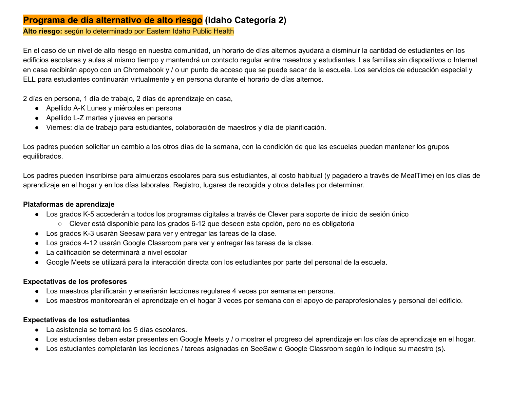### **Programa de día alternativo de alto riesgo (Idaho Categoría 2)**

**Alto riesgo:** según lo determinado por Eastern Idaho Public Health

En el caso de un nivel de alto riesgo en nuestra comunidad, un horario de días alternos ayudará a disminuir la cantidad de estudiantes en los edificios escolares y aulas al mismo tiempo y mantendrá un contacto regular entre maestros y estudiantes. Las familias sin dispositivos o Internet en casa recibirán apoyo con un Chromebook y / o un punto de acceso que se puede sacar de la escuela. Los servicios de educación especial y ELL para estudiantes continuarán virtualmente y en persona durante el horario de días alternos.

2 días en persona, 1 día de trabajo, 2 días de aprendizaje en casa,

- Apellido A-K Lunes y miércoles en persona
- Apellido L-Z martes y jueves en persona
- Viernes: día de trabajo para estudiantes, colaboración de maestros y día de planificación.

Los padres pueden solicitar un cambio a los otros días de la semana, con la condición de que las escuelas puedan mantener los grupos equilibrados.

Los padres pueden inscribirse para almuerzos escolares para sus estudiantes, al costo habitual (y pagadero a través de MealTime) en los días de aprendizaje en el hogar y en los días laborales. Registro, lugares de recogida y otros detalles por determinar.

#### **Plataformas de aprendizaje**

- Los grados K-5 accederán a todos los programas digitales a través de Clever para soporte de inicio de sesión único
	- Clever está disponible para los grados 6-12 que deseen esta opción, pero no es obligatoria
- Los grados K-3 usarán Seesaw para ver y entregar las tareas de la clase.
- Los grados 4-12 usarán Google Classroom para ver y entregar las tareas de la clase.
- La calificación se determinará a nivel escolar
- Google Meets se utilizará para la interacción directa con los estudiantes por parte del personal de la escuela.

### **Expectativas de los profesores**

- Los maestros planificarán y enseñarán lecciones regulares 4 veces por semana en persona.
- Los maestros monitorearán el aprendizaje en el hogar 3 veces por semana con el apoyo de paraprofesionales y personal del edificio.

#### **Expectativas de los estudiantes**

- La asistencia se tomará los 5 días escolares.
- Los estudiantes deben estar presentes en Google Meets y / o mostrar el progreso del aprendizaje en los días de aprendizaje en el hogar.
- Los estudiantes completarán las lecciones / tareas asignadas en SeeSaw o Google Classroom según lo indique su maestro (s).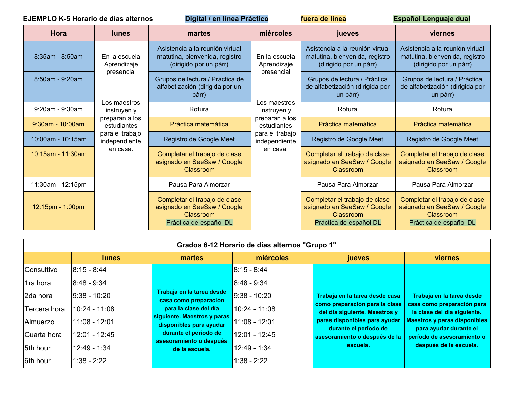|                      | <b>EJEMPLO K-5 Horario de días alternos</b> | Digital / en línea Práctico                                                                         |                                                                               | fuera de línea                                                                                      | Español Lenguaje dual                                                                               |
|----------------------|---------------------------------------------|-----------------------------------------------------------------------------------------------------|-------------------------------------------------------------------------------|-----------------------------------------------------------------------------------------------------|-----------------------------------------------------------------------------------------------------|
| Hora                 | <b>lunes</b>                                | martes                                                                                              | miércoles                                                                     | jueves                                                                                              | viernes                                                                                             |
| $8:35am - 8:50am$    | En la escuela<br>Aprendizaje                | Asistencia a la reunión virtual<br>matutina, bienvenida, registro<br>(dirigido por un párr)         | En la escuela<br>Aprendizaje                                                  | Asistencia a la reunión virtual<br>matutina, bienvenida, registro<br>(dirigido por un párr)         | Asistencia a la reunión virtual<br>matutina, bienvenida, registro<br>(dirigido por un párr)         |
| 8:50am - 9:20am      | presencial                                  | Grupos de lectura / Práctica de<br>alfabetización (dirigida por un<br>párr)                         | presencial                                                                    | Grupos de lectura / Práctica<br>de alfabetización (dirigida por<br>un párr)                         | Grupos de lectura / Práctica<br>de alfabetización (dirigida por<br>un párr)                         |
| $9:20am - 9:30am$    | instruyen y                                 | Los maestros<br>Los maestros<br>Rotura<br>instruyen y                                               | Rotura                                                                        | Rotura                                                                                              |                                                                                                     |
| $9:30$ am - 10:00am  | preparan a los<br>estudiantes               | Práctica matemática                                                                                 | preparan a los<br>estudiantes<br>para el trabajo<br>independiente<br>en casa. | Práctica matemática                                                                                 | Práctica matemática                                                                                 |
| 10:00am - 10:15am    | para el trabajo<br>independiente            | Registro de Google Meet                                                                             |                                                                               | Registro de Google Meet                                                                             | Registro de Google Meet                                                                             |
| $10:15$ am - 11:30am | en casa.                                    | Completar el trabajo de clase<br>asignado en SeeSaw / Google<br>Classroom                           |                                                                               | Completar el trabajo de clase<br>asignado en SeeSaw / Google<br>Classroom                           | Completar el trabajo de clase<br>asignado en SeeSaw / Google<br>Classroom                           |
| 11:30am - 12:15pm    |                                             | Pausa Para Almorzar                                                                                 |                                                                               | Pausa Para Almorzar                                                                                 | Pausa Para Almorzar                                                                                 |
| $12:15$ pm - 1:00pm  |                                             | Completar el trabajo de clase<br>asignado en SeeSaw / Google<br>Classroom<br>Práctica de español DL |                                                                               | Completar el trabajo de clase<br>asignado en SeeSaw / Google<br>Classroom<br>Práctica de español DL | Completar el trabajo de clase<br>asignado en SeeSaw / Google<br>Classroom<br>Práctica de español DL |

|              | Grados 6-12 Horario de días alternos "Grupo 1" |                                                                                                                                                                                                             |                                                |                                                                                                   |                                                                                        |  |
|--------------|------------------------------------------------|-------------------------------------------------------------------------------------------------------------------------------------------------------------------------------------------------------------|------------------------------------------------|---------------------------------------------------------------------------------------------------|----------------------------------------------------------------------------------------|--|
|              | <b>lunes</b>                                   | martes                                                                                                                                                                                                      | miércoles                                      | <b>jueves</b>                                                                                     | <b>viernes</b>                                                                         |  |
| Consultivo   | 8:15 - 8:44                                    |                                                                                                                                                                                                             | $8:15 - 8:44$                                  |                                                                                                   |                                                                                        |  |
| 1ra hora     | 8:48 - 9:34                                    | Trabaja en la tarea desde<br>casa como preparación<br>para la clase del día<br>siguiente. Maestros y paras<br>disponibles para ayudar<br>durante el período de<br>asesoramiento o después<br>de la escuela. | $8:48 - 9:34$                                  | Trabaja en la tarea desde casa<br>como preparación para la clase<br>del día siguiente. Maestros y | Trabaja en la tarea desde<br>casa como preparación para<br>la clase del día siguiente. |  |
| 2da hora     | <u> 19:38 - 10:20</u>                          |                                                                                                                                                                                                             | $9:38 - 10:20$                                 |                                                                                                   |                                                                                        |  |
| Tercera hora | 10:24 - 11:08                                  |                                                                                                                                                                                                             | $10:24 - 11:08$                                |                                                                                                   |                                                                                        |  |
| Almuerzo     | $11:08 - 12:01$                                |                                                                                                                                                                                                             | paras disponibles para ayudar<br>11:08 - 12:01 | <b>Maestros y paras disponibles</b>                                                               |                                                                                        |  |
| Cuarta hora  | 12:01 - 12:45                                  |                                                                                                                                                                                                             | 12:01 - 12:45                                  | durante el período de<br>asesoramiento o después de la<br>escuela.                                | para ayudar durante el<br>período de asesoramiento o<br>después de la escuela.         |  |
| 5th hour     | $12:49 - 1:34$                                 |                                                                                                                                                                                                             | 12:49 - 1:34                                   |                                                                                                   |                                                                                        |  |
| 6th hour     | $1:38 - 2:22$                                  |                                                                                                                                                                                                             | 1:38 - 2:22                                    |                                                                                                   |                                                                                        |  |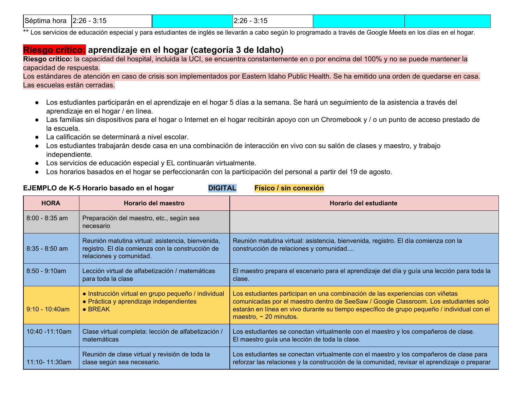| Séptima<br>3:15<br>$2:26 -$<br>hora | 2.26<br>$-3.4 -$<br><b>U.IU</b><br>$- - - -$ |  |  |
|-------------------------------------|----------------------------------------------|--|--|
|-------------------------------------|----------------------------------------------|--|--|

\*\* Los servicios de educación especial y para estudiantes de inglés se llevarán a cabo según lo programado a través de Google Meets en los días en el hogar.

### **Riesgo crítico: aprendizaje en el hogar (categoría 3 de Idaho)**

**Riesgo crítico:** la capacidad del hospital, incluida la UCI, se encuentra constantemente en o por encima del 100% y no se puede mantener la capacidad de respuesta.

Los estándares de atención en caso de crisis son implementados por Eastern Idaho Public Health. Se ha emitido una orden de quedarse en casa. Las escuelas están cerradas.

- Los estudiantes participarán en el aprendizaje en el hogar 5 días a la semana. Se hará un seguimiento de la asistencia a través del aprendizaje en el hogar / en línea.
- Las familias sin dispositivos para el hogar o Internet en el hogar recibirán apoyo con un Chromebook y / o un punto de acceso prestado de la escuela.
- La calificación se determinará a nivel escolar.
- Los estudiantes trabajarán desde casa en una combinación de interacción en vivo con su salón de clases y maestro, y trabajo independiente.
- Los servicios de educación especial y EL continuarán virtualmente.
- Los horarios basados en el hogar se perfeccionarán con la participación del personal a partir del 19 de agosto.

### **EJEMPLO de K-5 Horario basado en el hogar DIGITAL Físico / sin conexión**

| <b>HORA</b>        | Horario del maestro                                                                                                              | Horario del estudiante                                                                                                                                                                                                                                                                             |
|--------------------|----------------------------------------------------------------------------------------------------------------------------------|----------------------------------------------------------------------------------------------------------------------------------------------------------------------------------------------------------------------------------------------------------------------------------------------------|
| $8:00 - 8:35$ am   | Preparación del maestro, etc., según sea<br>necesario                                                                            |                                                                                                                                                                                                                                                                                                    |
| $8:35 - 8:50$ am   | Reunión matutina virtual: asistencia, bienvenida,<br>registro. El día comienza con la construcción de<br>relaciones y comunidad. | Reunión matutina virtual: asistencia, bienvenida, registro. El día comienza con la<br>construcción de relaciones y comunidad                                                                                                                                                                       |
| $8:50 - 9:10am$    | Lección virtual de alfabetización / matemáticas<br>para toda la clase                                                            | El maestro prepara el escenario para el aprendizaje del día y guía una lección para toda la<br>clase.                                                                                                                                                                                              |
| $9:10 - 10:40$ am  | · Instrucción virtual en grupo pequeño / individual<br>• Práctica y aprendizaje independientes<br>$\bullet$ BREAK                | Los estudiantes participan en una combinación de las experiencias con viñetas<br>comunicadas por el maestro dentro de SeeSaw / Google Classroom. Los estudiantes solo<br>estarán en línea en vivo durante su tiempo específico de grupo pequeño / individual con el<br>maestro, $\sim$ 20 minutos. |
| $10:40 - 11:10$ am | Clase virtual completa: lección de alfabetización /<br>matemáticas                                                               | Los estudiantes se conectan virtualmente con el maestro y los compañeros de clase.<br>El maestro guía una lección de toda la clase.                                                                                                                                                                |
| $11:10 - 11:30$ am | Reunión de clase virtual y revisión de toda la<br>clase según sea necesario.                                                     | Los estudiantes se conectan virtualmente con el maestro y los compañeros de clase para<br>reforzar las relaciones y la construcción de la comunidad, revisar el aprendizaje o preparar                                                                                                             |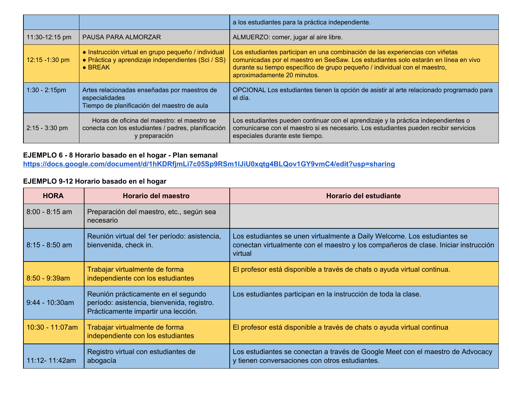|                   |                                                                                                                              | a los estudiantes para la práctica independiente.                                                                                                                                                                                                                                 |
|-------------------|------------------------------------------------------------------------------------------------------------------------------|-----------------------------------------------------------------------------------------------------------------------------------------------------------------------------------------------------------------------------------------------------------------------------------|
| 11:30-12:15 pm    | PAUSA PARA ALMORZAR                                                                                                          | ALMUERZO: comer, jugar al aire libre.                                                                                                                                                                                                                                             |
| $12:15 - 1:30$ pm | • Instrucción virtual en grupo pequeño / individual<br>• Práctica y aprendizaje independientes (Sci / SS)<br>$\bullet$ BREAK | Los estudiantes participan en una combinación de las experiencias con viñetas<br>comunicadas por el maestro en SeeSaw. Los estudiantes solo estarán en línea en vivo<br>durante su tiempo específico de grupo pequeño / individual con el maestro,<br>aproximadamente 20 minutos. |
| $1:30 - 2:15$ pm  | Artes relacionadas enseñadas por maestros de<br>especialidades<br>Tiempo de planificación del maestro de aula                | OPCIONAL Los estudiantes tienen la opción de asistir al arte relacionado programado para<br>el día.                                                                                                                                                                               |
| $2:15 - 3:30$ pm  | Horas de oficina del maestro: el maestro se<br>conecta con los estudiantes / padres, planificación<br>y preparación          | Los estudiantes pueden continuar con el aprendizaje y la práctica independientes o<br>comunicarse con el maestro si es necesario. Los estudiantes pueden recibir servicios<br>especiales durante este tiempo.                                                                     |

### **EJEMPLO 6 - 8 Horario basado en el hogar - Plan semanal**

**<https://docs.google.com/document/d/1hKDRfjmLi7c05Sp9RSm1lJiU0xqtg4BLQov1GY9vmC4/edit?usp=sharing>**

### **EJEMPLO 9-12 Horario basado en el hogar**

| <b>HORA</b>       | Horario del maestro                                                                                                      | Horario del estudiante                                                                                                                                                     |
|-------------------|--------------------------------------------------------------------------------------------------------------------------|----------------------------------------------------------------------------------------------------------------------------------------------------------------------------|
| $8:00 - 8:15$ am  | Preparación del maestro, etc., según sea<br>necesario                                                                    |                                                                                                                                                                            |
| $8:15 - 8:50$ am  | Reunión virtual del 1 er período: asistencia,<br>bienvenida, check in.                                                   | Los estudiantes se unen virtualmente a Daily Welcome. Los estudiantes se<br>conectan virtualmente con el maestro y los compañeros de clase. Iniciar instrucción<br>virtual |
| $8:50 - 9:39am$   | Trabajar virtualmente de forma<br>independiente con los estudiantes                                                      | El profesor está disponible a través de chats o ayuda virtual continua.                                                                                                    |
| $9:44 - 10:30$ am | Reunión prácticamente en el segundo<br>período: asistencia, bienvenida, registro.<br>Prácticamente impartir una lección. | Los estudiantes participan en la instrucción de toda la clase.                                                                                                             |
| 10:30 - 11:07am   | Trabajar virtualmente de forma<br>independiente con los estudiantes                                                      | El profesor está disponible a través de chats o ayuda virtual continua                                                                                                     |
| 11:12- 11:42am    | Registro virtual con estudiantes de<br>abogacía                                                                          | Los estudiantes se conectan a través de Google Meet con el maestro de Advocacy<br>y tienen conversaciones con otros estudiantes.                                           |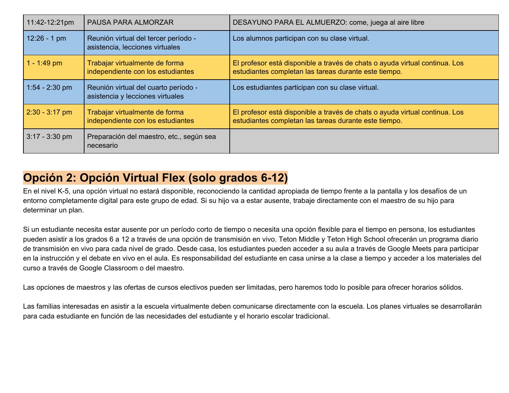| 11:42-12:21pm    | PAUSA PARA ALMORZAR                                                      | DESAYUNO PARA EL ALMUERZO: come, juega al aire libre                                                                                 |
|------------------|--------------------------------------------------------------------------|--------------------------------------------------------------------------------------------------------------------------------------|
| $12:26 - 1$ pm   | Reunión virtual del tercer período -<br>asistencia, lecciones virtuales  | Los alumnos participan con su clase virtual.                                                                                         |
| $1 - 1:49$ pm    | Trabajar virtualmente de forma<br>independiente con los estudiantes      | El profesor está disponible a través de chats o ayuda virtual continua. Los<br>estudiantes completan las tareas durante este tiempo. |
| $1:54 - 2:30$ pm | Reunión virtual del cuarto período -<br>asistencia y lecciones virtuales | Los estudiantes participan con su clase virtual.                                                                                     |
| $2:30 - 3:17$ pm | Trabajar virtualmente de forma<br>independiente con los estudiantes      | El profesor está disponible a través de chats o ayuda virtual continua. Los<br>estudiantes completan las tareas durante este tiempo. |
| $3:17 - 3:30$ pm | Preparación del maestro, etc., según sea<br>necesario                    |                                                                                                                                      |

### **Opción 2: Opción Virtual Flex (solo grados 6-12)**

En el nivel K-5, una opción virtual no estará disponible, reconociendo la cantidad apropiada de tiempo frente a la pantalla y los desafíos de un entorno completamente digital para este grupo de edad. Si su hijo va a estar ausente, trabaje directamente con el maestro de su hijo para determinar un plan.

Si un estudiante necesita estar ausente por un período corto de tiempo o necesita una opción flexible para el tiempo en persona, los estudiantes pueden asistir a los grados 6 a 12 a través de una opción de transmisión en vivo. Teton Middle y Teton High School ofrecerán un programa diario de transmisión en vivo para cada nivel de grado. Desde casa, los estudiantes pueden acceder a su aula a través de Google Meets para participar en la instrucción y el debate en vivo en el aula. Es responsabilidad del estudiante en casa unirse a la clase a tiempo y acceder a los materiales del curso a través de Google Classroom o del maestro.

Las opciones de maestros y las ofertas de cursos electivos pueden ser limitadas, pero haremos todo lo posible para ofrecer horarios sólidos.

Las familias interesadas en asistir a la escuela virtualmente deben comunicarse directamente con la escuela. Los planes virtuales se desarrollarán para cada estudiante en función de las necesidades del estudiante y el horario escolar tradicional.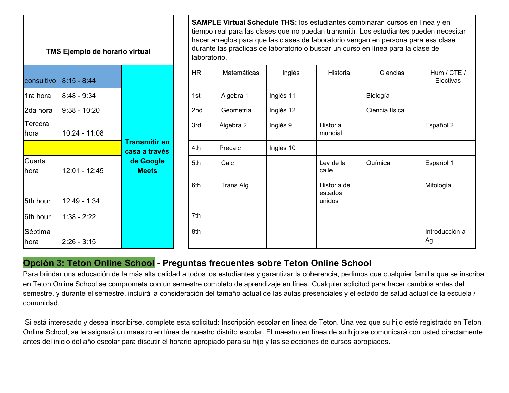| TMS Ejemplo de horario virtual | tien<br>hac<br>dur<br>lab |                                       |                 |
|--------------------------------|---------------------------|---------------------------------------|-----------------|
| consultivo                     | 8:15 - 8:44               |                                       | HR.             |
| 1ra hora                       | $8:48 - 9:34$             |                                       | 1st             |
| 2da hora<br>$9:38 - 10:20$     |                           |                                       | 2 <sub>nd</sub> |
| Tercera<br>hora                | 10:24 - 11:08             |                                       | 3rd             |
|                                |                           | <b>Transmitir en</b><br>casa a través | 4th             |
| Cuarta<br>hora                 | 12:01 - 12:45             | de Google<br><b>Meets</b>             | 5th             |
|                                |                           |                                       | 6th             |
| 5th hour                       | 12:49 - 1:34              |                                       |                 |
| 6th hour                       | $1:38 - 2:22$             |                                       | 7th             |
| Séptima<br>hora                | $2:26 - 3:15$             |                                       | 8th             |

**SAMPLE Virtual Schedule THS:** los estudiantes combinarán cursos en línea y en tiempo real para las clases que no puedan transmitir. Los estudiantes pueden necesitar hacer arreglos para que las clases de laboratorio vengan en persona para esa clase durante las prácticas de laboratorio o buscar un curso en línea para la clase de laboratorio.

| consultivo      | $ 8:15 - 8:44 $ |                                       | <b>HR</b> | Matemáticas | Inglés    | Historia                         | Ciencias       | Hum / CTE /<br>Electivas |
|-----------------|-----------------|---------------------------------------|-----------|-------------|-----------|----------------------------------|----------------|--------------------------|
| 1ra hora        | 8:48 - 9:34     |                                       | 1st       | Álgebra 1   | Inglés 11 |                                  | Biología       |                          |
| 2da hora        | 9:38 - 10:20    |                                       | 2nd       | Geometría   | Inglés 12 |                                  | Ciencia física |                          |
| Tercera<br>hora | $10:24 - 11:08$ |                                       | 3rd       | Álgebra 2   | Inglés 9  | Historia<br>mundial              |                | Español 2                |
|                 |                 | <b>Transmitir en</b><br>casa a través | 4th       | Precalc     | Inglés 10 |                                  |                |                          |
| Cuarta<br>hora  | $12:01 - 12:45$ | de Google<br><b>Meets</b>             | 5th       | Calc        |           | Ley de la<br>calle               | Química        | Español 1                |
| 5th hour        | $12:49 - 1:34$  |                                       | 6th       | Trans Alg   |           | Historia de<br>estados<br>unidos |                | Mitología                |
| 6th hour        | $1:38 - 2:22$   |                                       | 7th       |             |           |                                  |                |                          |
| Séptima<br>hora | $2:26 - 3:15$   |                                       | 8th       |             |           |                                  |                | Introducción a<br>Ag     |

### **Opción 3: Teton Online School - Preguntas frecuentes sobre Teton Online School**

Para brindar una educación de la más alta calidad a todos los estudiantes y garantizar la coherencia, pedimos que cualquier familia que se inscriba en Teton Online School se comprometa con un semestre completo de aprendizaje en línea. Cualquier solicitud para hacer cambios antes del semestre, y durante el semestre, incluirá la consideración del tamaño actual de las aulas presenciales y el estado de salud actual de la escuela / comunidad.

 Si está interesado y desea inscribirse, complete esta solicitud: Inscripción escolar en línea de Teton. Una vez que su hijo esté registrado en Teton Online School, se le asignará un maestro en línea de nuestro distrito escolar. El maestro en línea de su hijo se comunicará con usted directamente antes del inicio del año escolar para discutir el horario apropiado para su hijo y las selecciones de cursos apropiados.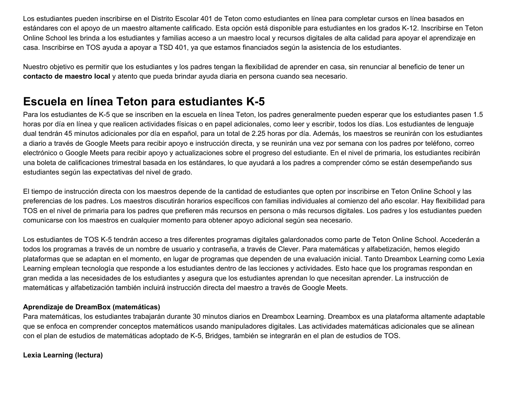Los estudiantes pueden inscribirse en el Distrito Escolar 401 de Teton como estudiantes en línea para completar cursos en línea basados en estándares con el apoyo de un maestro altamente calificado. Esta opción está disponible para estudiantes en los grados K-12. Inscribirse en Teton Online School les brinda a los estudiantes y familias acceso a un maestro local y recursos digitales de alta calidad para apoyar el aprendizaje en casa. Inscribirse en TOS ayuda a apoyar a TSD 401, ya que estamos financiados según la asistencia de los estudiantes.

Nuestro objetivo es permitir que los estudiantes y los padres tengan la flexibilidad de aprender en casa, sin renunciar al beneficio de tener un **contacto de maestro local** y atento que pueda brindar ayuda diaria en persona cuando sea necesario.

### **Escuela en línea Teton para estudiantes K-5**

Para los estudiantes de K-5 que se inscriben en la escuela en línea Teton, los padres generalmente pueden esperar que los estudiantes pasen 1.5 horas por día en línea y que realicen actividades físicas o en papel adicionales, como leer y escribir, todos los días. Los estudiantes de lenguaje dual tendrán 45 minutos adicionales por día en español, para un total de 2.25 horas por día. Además, los maestros se reunirán con los estudiantes a diario a través de Google Meets para recibir apoyo e instrucción directa, y se reunirán una vez por semana con los padres por teléfono, correo electrónico o Google Meets para recibir apoyo y actualizaciones sobre el progreso del estudiante. En el nivel de primaria, los estudiantes recibirán una boleta de calificaciones trimestral basada en los estándares, lo que ayudará a los padres a comprender cómo se están desempeñando sus estudiantes según las expectativas del nivel de grado.

El tiempo de instrucción directa con los maestros depende de la cantidad de estudiantes que opten por inscribirse en Teton Online School y las preferencias de los padres. Los maestros discutirán horarios específicos con familias individuales al comienzo del año escolar. Hay flexibilidad para TOS en el nivel de primaria para los padres que prefieren más recursos en persona o más recursos digitales. Los padres y los estudiantes pueden comunicarse con los maestros en cualquier momento para obtener apoyo adicional según sea necesario.

Los estudiantes de TOS K-5 tendrán acceso a tres diferentes programas digitales galardonados como parte de Teton Online School. Accederán a todos los programas a través de un nombre de usuario y contraseña, a través de Clever. Para matemáticas y alfabetización, hemos elegido plataformas que se adaptan en el momento, en lugar de programas que dependen de una evaluación inicial. Tanto Dreambox Learning como Lexia Learning emplean tecnología que responde a los estudiantes dentro de las lecciones y actividades. Esto hace que los programas respondan en gran medida a las necesidades de los estudiantes y asegura que los estudiantes aprendan lo que necesitan aprender. La instrucción de matemáticas y alfabetización también incluirá instrucción directa del maestro a través de Google Meets.

#### **Aprendizaje de DreamBox (matemáticas)**

Para matemáticas, los estudiantes trabajarán durante 30 minutos diarios en Dreambox Learning. Dreambox es una plataforma altamente adaptable que se enfoca en comprender conceptos matemáticos usando manipuladores digitales. Las actividades matemáticas adicionales que se alinean con el plan de estudios de matemáticas adoptado de K-5, Bridges, también se integrarán en el plan de estudios de TOS.

#### **Lexia Learning (lectura)**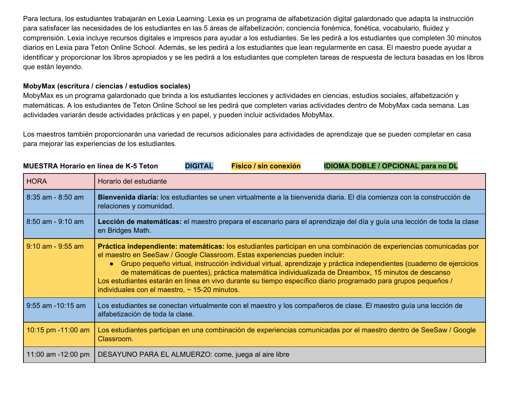Para lectura, los estudiantes trabajarán en Lexia Learning. Lexia es un programa de alfabetización digital galardonado que adapta la instrucción para satisfacer las necesidades de los estudiantes en las 5 áreas de alfabetización; conciencia fonémica, fonética, vocabulario, fluidez y comprensión. Lexia incluye recursos digitales e impresos para ayudar a los estudiantes. Se les pedirá a los estudiantes que completen 30 minutos diarios en Lexia para Teton Online School. Además, se les pedirá a los estudiantes que lean regularmente en casa. El maestro puede ayudar a identificar y proporcionar los libros apropiados y se les pedirá a los estudiantes que completen tareas de respuesta de lectura basadas en los libros que están leyendo.

#### **MobyMax (escritura / ciencias / estudios sociales)**

MobyMax es un programa galardonado que brinda a los estudiantes lecciones y actividades en ciencias, estudios sociales, alfabetización y matemáticas. A los estudiantes de Teton Online School se les pedirá que completen varias actividades dentro de MobyMax cada semana. Las actividades variarán desde actividades prácticas y en papel, y pueden incluir actividades MobyMax.

Los maestros también proporcionarán una variedad de recursos adicionales para actividades de aprendizaje que se pueden completar en casa para mejorar las experiencias de los estudiantes.

| <b>HORA</b>           | Horario del estudiante                                                                                                                                                                                                                                                                                                                                                                                                                                                                                                                                                                                     |
|-----------------------|------------------------------------------------------------------------------------------------------------------------------------------------------------------------------------------------------------------------------------------------------------------------------------------------------------------------------------------------------------------------------------------------------------------------------------------------------------------------------------------------------------------------------------------------------------------------------------------------------------|
| $8:35$ am - $8:50$ am | Bienvenida diaria: los estudiantes se unen virtualmente a la bienvenida diaria. El día comienza con la construcción de<br>relaciones y comunidad.                                                                                                                                                                                                                                                                                                                                                                                                                                                          |
| $8:50$ am - 9:10 am   | Lección de matemáticas: el maestro prepara el escenario para el aprendizaje del día y guía una lección de toda la clase<br>en Bridges Math.                                                                                                                                                                                                                                                                                                                                                                                                                                                                |
| $9:10$ am - $9:55$ am | Práctica independiente: matemáticas: los estudiantes participan en una combinación de experiencias comunicadas por<br>el maestro en SeeSaw / Google Classroom. Estas experiencias pueden incluir:<br>• Grupo pequeño virtual, instrucción individual virtual, aprendizaje y práctica independientes (cuaderno de ejercicios<br>de matemáticas de puentes), práctica matemática individualizada de Dreambox, 15 minutos de descanso<br>Los estudiantes estarán en línea en vivo durante su tiempo específico diario programado para grupos pequeños /<br>individuales con el maestro, $\sim$ 15-20 minutos. |
| $9:55$ am $-10:15$ am | Los estudiantes se conectan virtualmente con el maestro y los compañeros de clase. El maestro guía una lección de<br>alfabetización de toda la clase.                                                                                                                                                                                                                                                                                                                                                                                                                                                      |
| 10:15 pm -11:00 am    | Los estudiantes participan en una combinación de experiencias comunicadas por el maestro dentro de SeeSaw / Google<br>Classroom.                                                                                                                                                                                                                                                                                                                                                                                                                                                                           |
| 11:00 am $-12:00$ pm  | DESAYUNO PARA EL ALMUERZO: come, juega al aire libre                                                                                                                                                                                                                                                                                                                                                                                                                                                                                                                                                       |

#### MUESTRA Horario en línea de K-5 Teton DIGITAL Físico / sin conexión IDIOMA DOBLE / OPCIONAL para no DL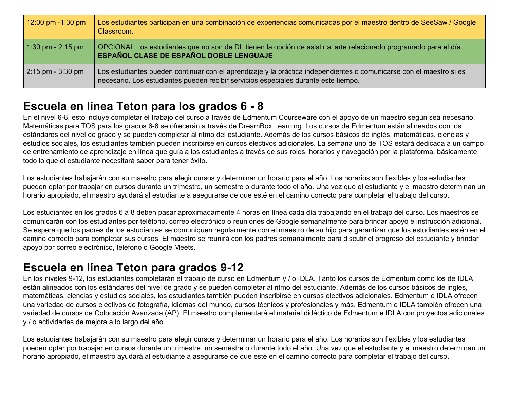| 12:00 pm $-1:30$ pm | Los estudiantes participan en una combinación de experiencias comunicadas por el maestro dentro de SeeSaw / Google<br>Classroom.                                                                           |
|---------------------|------------------------------------------------------------------------------------------------------------------------------------------------------------------------------------------------------------|
| 1:30 pm - 2:15 pm   | OPCIONAL Los estudiantes que no son de DL tienen la opción de asistir al arte relacionado programado para el día.<br>ESPAÑOL CLASE DE ESPAÑOL DOBLE LENGUAJE                                               |
| $2:15$ pm - 3:30 pm | Los estudiantes pueden continuar con el aprendizaje y la práctica independientes o comunicarse con el maestro si es<br>necesario. Los estudiantes pueden recibir servicios especiales durante este tiempo. |

### **Escuela en línea Teton para los grados 6 - 8**

En el nivel 6-8, esto incluye completar el trabajo del curso a través de Edmentum Courseware con el apoyo de un maestro según sea necesario. Matemáticas para TOS para los grados 6-8 se ofrecerán a través de DreamBox Learning. Los cursos de Edmentum están alineados con los estándares del nivel de grado y se pueden completar al ritmo del estudiante. Además de los cursos básicos de inglés, matemáticas, ciencias y estudios sociales, los estudiantes también pueden inscribirse en cursos electivos adicionales. La semana uno de TOS estará dedicada a un campo de entrenamiento de aprendizaje en línea que guía a los estudiantes a través de sus roles, horarios y navegación por la plataforma, básicamente todo lo que el estudiante necesitará saber para tener éxito.

Los estudiantes trabajarán con su maestro para elegir cursos y determinar un horario para el año. Los horarios son flexibles y los estudiantes pueden optar por trabajar en cursos durante un trimestre, un semestre o durante todo el año. Una vez que el estudiante y el maestro determinan un horario apropiado, el maestro ayudará al estudiante a asegurarse de que esté en el camino correcto para completar el trabajo del curso.

Los estudiantes en los grados 6 a 8 deben pasar aproximadamente 4 horas en línea cada día trabajando en el trabajo del curso. Los maestros se comunicarán con los estudiantes por teléfono, correo electrónico o reuniones de Google semanalmente para brindar apoyo e instrucción adicional. Se espera que los padres de los estudiantes se comuniquen regularmente con el maestro de su hijo para garantizar que los estudiantes estén en el camino correcto para completar sus cursos. El maestro se reunirá con los padres semanalmente para discutir el progreso del estudiante y brindar apoyo por correo electrónico, teléfono o Google Meets.

### **Escuela en línea Teton para grados 9-12**

En los niveles 9-12, los estudiantes completarán el trabajo de curso en Edmentum y / o IDLA. Tanto los cursos de Edmentum como los de IDLA están alineados con los estándares del nivel de grado y se pueden completar al ritmo del estudiante. Además de los cursos básicos de inglés, matemáticas, ciencias y estudios sociales, los estudiantes también pueden inscribirse en cursos electivos adicionales. Edmentum e IDLA ofrecen una variedad de cursos electivos de fotografía, idiomas del mundo, cursos técnicos y profesionales y más. Edmentum e IDLA también ofrecen una variedad de cursos de Colocación Avanzada (AP). El maestro complementará el material didáctico de Edmentum e IDLA con proyectos adicionales y / o actividades de mejora a lo largo del año.

Los estudiantes trabajarán con su maestro para elegir cursos y determinar un horario para el año. Los horarios son flexibles y los estudiantes pueden optar por trabajar en cursos durante un trimestre, un semestre o durante todo el año. Una vez que el estudiante y el maestro determinan un horario apropiado, el maestro ayudará al estudiante a asegurarse de que esté en el camino correcto para completar el trabajo del curso.